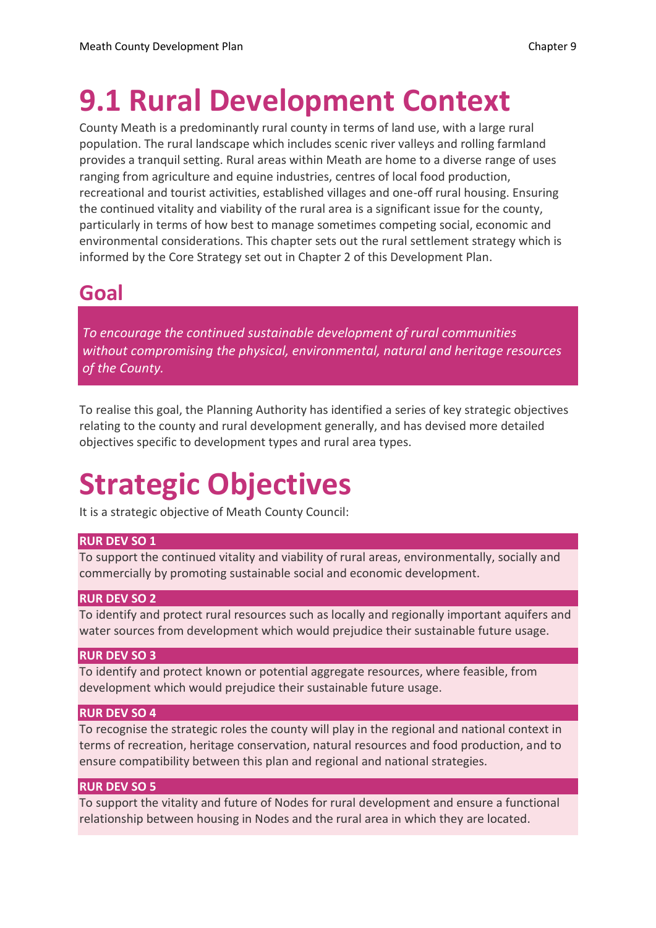# **9.1 Rural Development Context**

County Meath is a predominantly rural county in terms of land use, with a large rural population. The rural landscape which includes scenic river valleys and rolling farmland provides a tranquil setting. Rural areas within Meath are home to a diverse range of uses ranging from agriculture and equine industries, centres of local food production, recreational and tourist activities, established villages and one-off rural housing. Ensuring the continued vitality and viability of the rural area is a significant issue for the county, particularly in terms of how best to manage sometimes competing social, economic and environmental considerations. This chapter sets out the rural settlement strategy which is informed by the Core Strategy set out in Chapter 2 of this Development Plan.

## **Goal**

*To encourage the continued sustainable development of rural communities without compromising the physical, environmental, natural and heritage resources of the County.*

To realise this goal, the Planning Authority has identified a series of key strategic objectives relating to the county and rural development generally, and has devised more detailed objectives specific to development types and rural area types.

# **Strategic Objectives**

It is a strategic objective of Meath County Council:

#### **RUR DEV SO 1**

To support the continued vitality and viability of rural areas, environmentally, socially and commercially by promoting sustainable social and economic development.

#### **RUR DEV SO 2**

To identify and protect rural resources such as locally and regionally important aquifers and water sources from development which would prejudice their sustainable future usage.

#### **RUR DEV SO 3**

To identify and protect known or potential aggregate resources, where feasible, from development which would prejudice their sustainable future usage.

#### **RUR DEV SO 4**

To recognise the strategic roles the county will play in the regional and national context in terms of recreation, heritage conservation, natural resources and food production, and to ensure compatibility between this plan and regional and national strategies.

#### **RUR DEV SO 5**

To support the vitality and future of Nodes for rural development and ensure a functional relationship between housing in Nodes and the rural area in which they are located.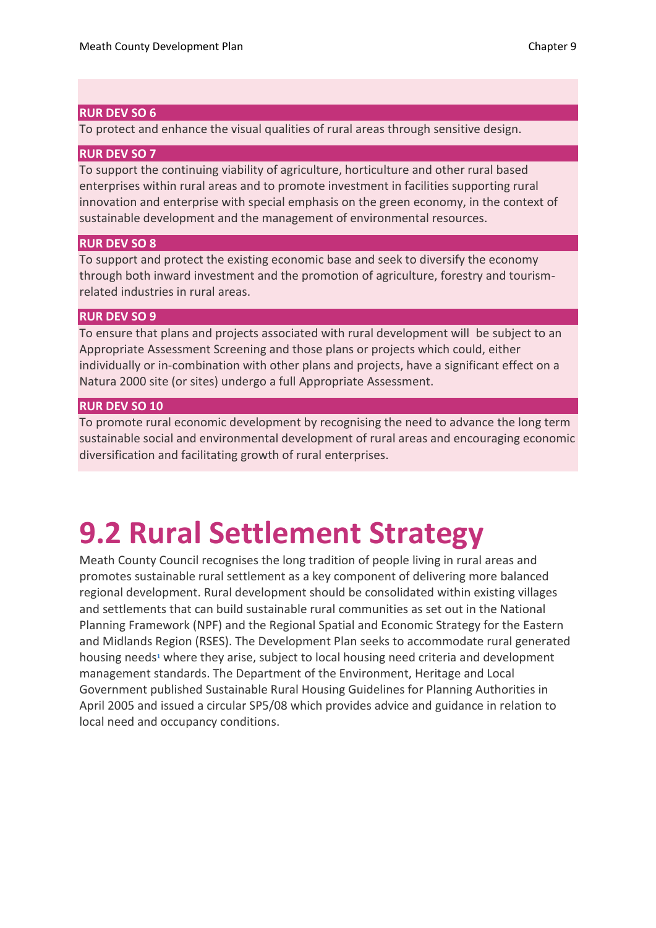#### **RUR DEV SO 6**

To protect and enhance the visual qualities of rural areas through sensitive design.

#### **RUR DEV SO 7**

To support the continuing viability of agriculture, horticulture and other rural based enterprises within rural areas and to promote investment in facilities supporting rural innovation and enterprise with special emphasis on the green economy, in the context of sustainable development and the management of environmental resources.

#### **RUR DEV SO 8**

To support and protect the existing economic base and seek to diversify the economy through both inward investment and the promotion of agriculture, forestry and tourismrelated industries in rural areas.

#### **RUR DEV SO 9**

To ensure that plans and projects associated with rural development will be subject to an Appropriate Assessment Screening and those plans or projects which could, either individually or in-combination with other plans and projects, have a significant effect on a Natura 2000 site (or sites) undergo a full Appropriate Assessment.

#### **RUR DEV SO 10**

To promote rural economic development by recognising the need to advance the long term sustainable social and environmental development of rural areas and encouraging economic diversification and facilitating growth of rural enterprises.

# **9.2 Rural Settlement Strategy**

Meath County Council recognises the long tradition of people living in rural areas and promotes sustainable rural settlement as a key component of delivering more balanced regional development. Rural development should be consolidated within existing villages and settlements that can build sustainable rural communities as set out in the National Planning Framework (NPF) and the Regional Spatial and Economic Strategy for the Eastern and Midlands Region (RSES). The Development Plan seeks to accommodate rural generated housing need[s](https://consult.meath.ie/en/consultation/meath-adopted-county-development-plan/chapter/09-rural-development-strategy#ref1)**<sup>1</sup>** where they arise, subject to local housing need criteria and development management standards. The Department of the Environment, Heritage and Local Government published Sustainable Rural Housing Guidelines for Planning Authorities in April 2005 and issued a circular SP5/08 which provides advice and guidance in relation to local need and occupancy conditions.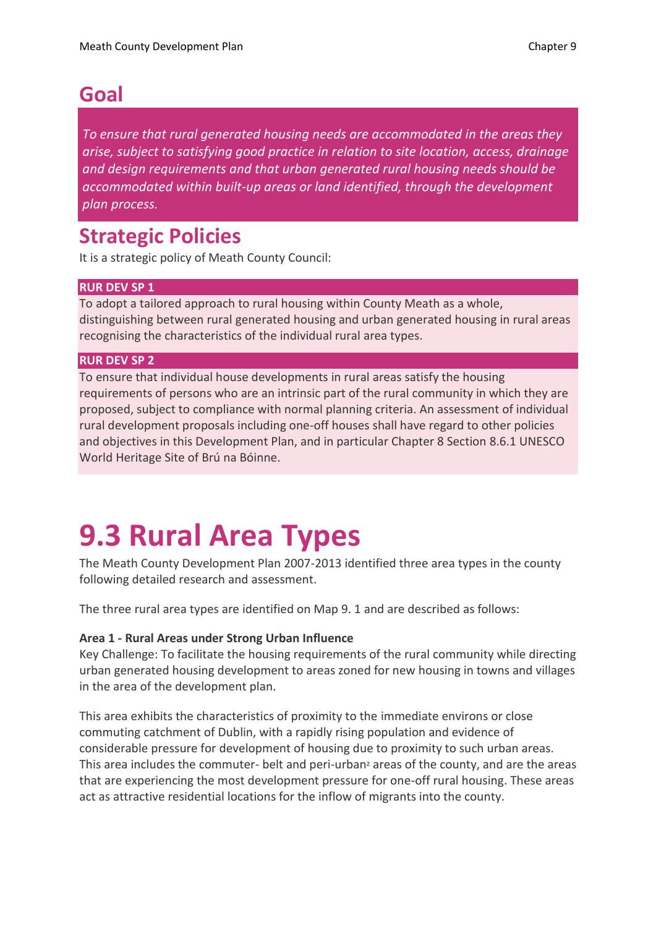### **Goal**

*To ensure that rural generated housing needs are accommodated in the areas they arise, subject to satisfying good practice in relation to site location, access, drainage and design requirements and that urban generated rural housing needs should be accommodated within built-up areas or land identified, through the development plan process.*

## **Strategic Policies**

It is a strategic policy of Meath County Council:

#### **RUR DEV SP 1**

To adopt a tailored approach to rural housing within County Meath as a whole, distinguishing between rural generated housing and urban generated housing in rural areas recognising the characteristics of the individual rural area types.

#### **RUR DEV SP 2**

To ensure that individual house developments in rural areas satisfy the housing requirements of persons who are an intrinsic part of the rural community in which they are proposed, subject to compliance with normal planning criteria. An assessment of individual rural development proposals including one-off houses shall have regard to other policies and objectives in this Development Plan, and in particular Chapter 8 Section 8.6.1 UNESCO World Heritage Site of Brú na Bóinne.

# **9.3 Rural Area Types**

The Meath County Development Plan 2007-2013 identified three area types in the county following detailed research and assessment.

The three rural area types are identified on Map 9. 1 and are described as follows:

#### **Area 1 - Rural Areas under Strong Urban Influence**

Key Challenge: To facilitate the housing requirements of the rural community while directing urban generated housing development to areas zoned for new housing in towns and villages in the area of the development plan.

This area exhibits the characteristics of proximity to the immediate environs or close commuting catchment of Dublin, with a rapidly rising population and evidence of considerable pressure for development of housing due to proximity to such urban areas. This area includes the commuter- belt and peri-urba[n](https://consult.meath.ie/en/consultation/meath-adopted-county-development-plan/chapter/09-rural-development-strategy#ref2)**<sup>2</sup>** areas of the county, and are the areas that are experiencing the most development pressure for one-off rural housing. These areas act as attractive residential locations for the inflow of migrants into the county.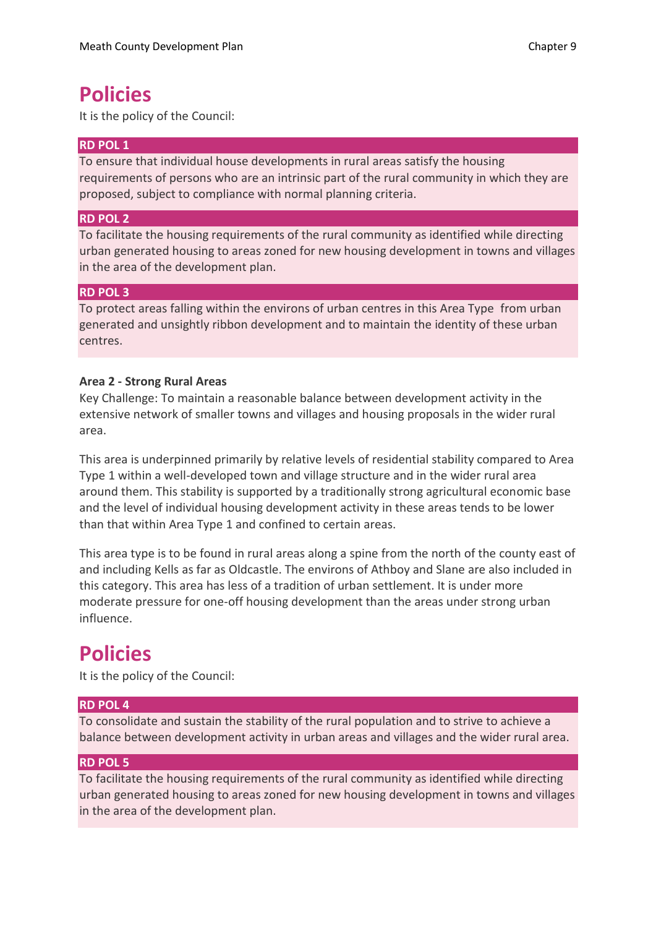### **Policies**

It is the policy of the Council:

#### **RD POL 1**

To ensure that individual house developments in rural areas satisfy the housing requirements of persons who are an intrinsic part of the rural community in which they are proposed, subject to compliance with normal planning criteria.

#### **RD POL 2**

To facilitate the housing requirements of the rural community as identified while directing urban generated housing to areas zoned for new housing development in towns and villages in the area of the development plan.

#### **RD POL 3**

To protect areas falling within the environs of urban centres in this Area Type from urban generated and unsightly ribbon development and to maintain the identity of these urban centres.

#### **Area 2 - Strong Rural Areas**

Key Challenge: To maintain a reasonable balance between development activity in the extensive network of smaller towns and villages and housing proposals in the wider rural area.

This area is underpinned primarily by relative levels of residential stability compared to Area Type 1 within a well-developed town and village structure and in the wider rural area around them. This stability is supported by a traditionally strong agricultural economic base and the level of individual housing development activity in these areas tends to be lower than that within Area Type 1 and confined to certain areas.

This area type is to be found in rural areas along a spine from the north of the county east of and including Kells as far as Oldcastle. The environs of Athboy and Slane are also included in this category. This area has less of a tradition of urban settlement. It is under more moderate pressure for one-off housing development than the areas under strong urban influence.

### **Policies**

It is the policy of the Council:

#### **RD POL 4**

To consolidate and sustain the stability of the rural population and to strive to achieve a balance between development activity in urban areas and villages and the wider rural area.

#### **RD POL 5**

To facilitate the housing requirements of the rural community as identified while directing urban generated housing to areas zoned for new housing development in towns and villages in the area of the development plan.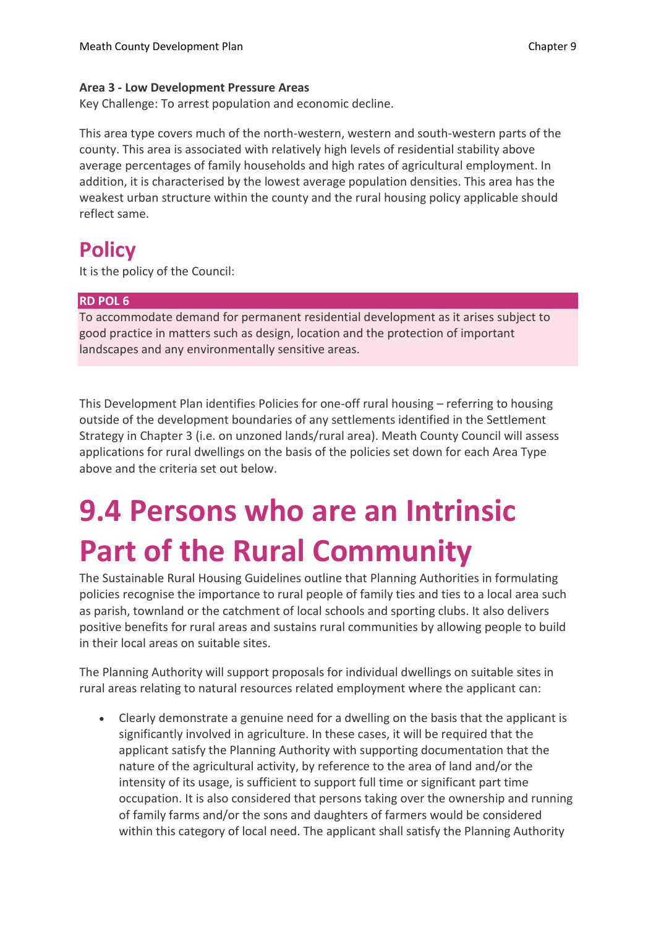#### **Area 3 - Low Development Pressure Areas**

Key Challenge: To arrest population and economic decline.

This area type covers much of the north-western, western and south-western parts of the county. This area is associated with relatively high levels of residential stability above average percentages of family households and high rates of agricultural employment. In addition, it is characterised by the lowest average population densities. This area has the weakest urban structure within the county and the rural housing policy applicable should reflect same.

## **Policy**

It is the policy of the Council:

#### **RD POL 6**

To accommodate demand for permanent residential development as it arises subject to good practice in matters such as design, location and the protection of important landscapes and any environmentally sensitive areas.

This Development Plan identifies Policies for one-off rural housing – referring to housing outside of the development boundaries of any settlements identified in the Settlement Strategy in Chapter 3 (i.e. on unzoned lands/rural area). Meath County Council will assess applications for rural dwellings on the basis of the policies set down for each Area Type above and the criteria set out below.

# **9.4 Persons who are an Intrinsic Part of the Rural Community**

The Sustainable Rural Housing Guidelines outline that Planning Authorities in formulating policies recognise the importance to rural people of family ties and ties to a local area such as parish, townland or the catchment of local schools and sporting clubs. It also delivers positive benefits for rural areas and sustains rural communities by allowing people to build in their local areas on suitable sites.

The Planning Authority will support proposals for individual dwellings on suitable sites in rural areas relating to natural resources related employment where the applicant can:

• Clearly demonstrate a genuine need for a dwelling on the basis that the applicant is significantly involved in agriculture. In these cases, it will be required that the applicant satisfy the Planning Authority with supporting documentation that the nature of the agricultural activity, by reference to the area of land and/or the intensity of its usage, is sufficient to support full time or significant part time occupation. It is also considered that persons taking over the ownership and running of family farms and/or the sons and daughters of farmers would be considered within this category of local need. The applicant shall satisfy the Planning Authority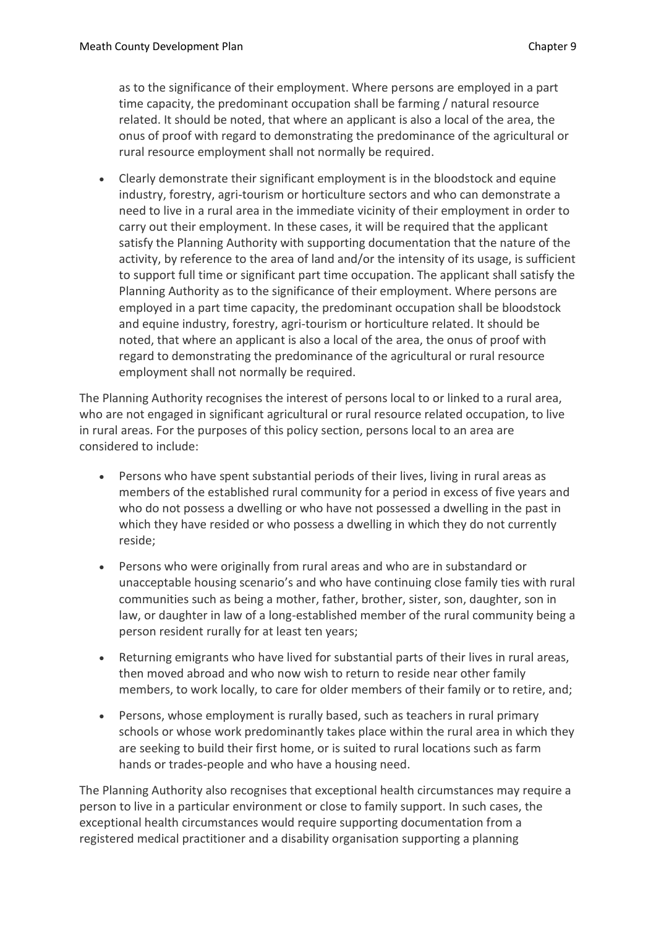as to the significance of their employment. Where persons are employed in a part time capacity, the predominant occupation shall be farming / natural resource related. It should be noted, that where an applicant is also a local of the area, the onus of proof with regard to demonstrating the predominance of the agricultural or rural resource employment shall not normally be required.

• Clearly demonstrate their significant employment is in the bloodstock and equine industry, forestry, agri-tourism or horticulture sectors and who can demonstrate a need to live in a rural area in the immediate vicinity of their employment in order to carry out their employment. In these cases, it will be required that the applicant satisfy the Planning Authority with supporting documentation that the nature of the activity, by reference to the area of land and/or the intensity of its usage, is sufficient to support full time or significant part time occupation. The applicant shall satisfy the Planning Authority as to the significance of their employment. Where persons are employed in a part time capacity, the predominant occupation shall be bloodstock and equine industry, forestry, agri-tourism or horticulture related. It should be noted, that where an applicant is also a local of the area, the onus of proof with regard to demonstrating the predominance of the agricultural or rural resource employment shall not normally be required.

The Planning Authority recognises the interest of persons local to or linked to a rural area, who are not engaged in significant agricultural or rural resource related occupation, to live in rural areas. For the purposes of this policy section, persons local to an area are considered to include:

- Persons who have spent substantial periods of their lives, living in rural areas as members of the established rural community for a period in excess of five years and who do not possess a dwelling or who have not possessed a dwelling in the past in which they have resided or who possess a dwelling in which they do not currently reside;
- Persons who were originally from rural areas and who are in substandard or unacceptable housing scenario's and who have continuing close family ties with rural communities such as being a mother, father, brother, sister, son, daughter, son in law, or daughter in law of a long-established member of the rural community being a person resident rurally for at least ten years;
- Returning emigrants who have lived for substantial parts of their lives in rural areas, then moved abroad and who now wish to return to reside near other family members, to work locally, to care for older members of their family or to retire, and;
- Persons, whose employment is rurally based, such as teachers in rural primary schools or whose work predominantly takes place within the rural area in which they are seeking to build their first home, or is suited to rural locations such as farm hands or trades-people and who have a housing need.

The Planning Authority also recognises that exceptional health circumstances may require a person to live in a particular environment or close to family support. In such cases, the exceptional health circumstances would require supporting documentation from a registered medical practitioner and a disability organisation supporting a planning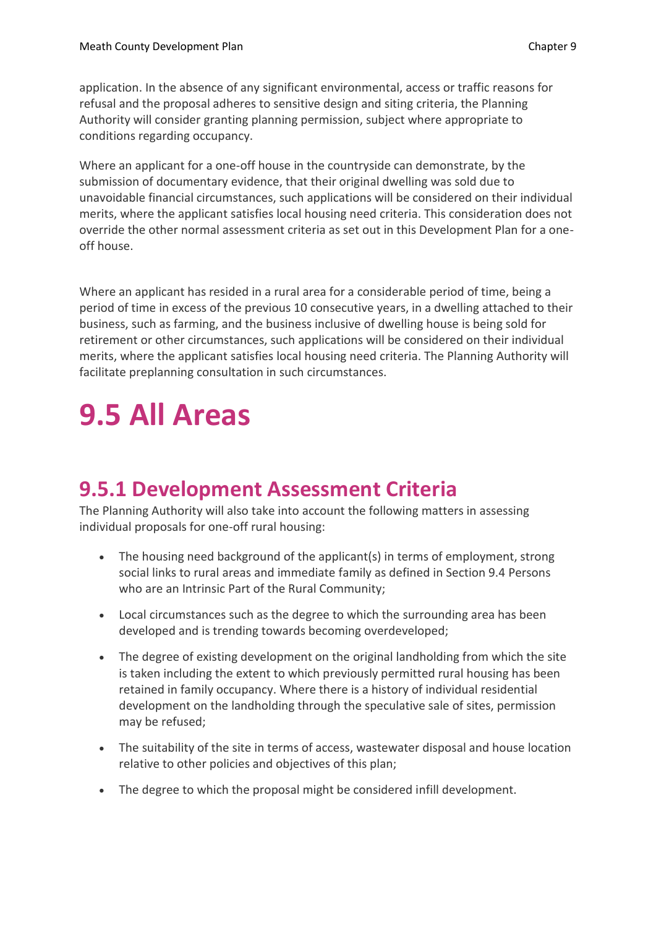application. In the absence of any significant environmental, access or traffic reasons for refusal and the proposal adheres to sensitive design and siting criteria, the Planning Authority will consider granting planning permission, subject where appropriate to conditions regarding occupancy.

Where an applicant for a one-off house in the countryside can demonstrate, by the submission of documentary evidence, that their original dwelling was sold due to unavoidable financial circumstances, such applications will be considered on their individual merits, where the applicant satisfies local housing need criteria. This consideration does not override the other normal assessment criteria as set out in this Development Plan for a oneoff house.

Where an applicant has resided in a rural area for a considerable period of time, being a period of time in excess of the previous 10 consecutive years, in a dwelling attached to their business, such as farming, and the business inclusive of dwelling house is being sold for retirement or other circumstances, such applications will be considered on their individual merits, where the applicant satisfies local housing need criteria. The Planning Authority will facilitate preplanning consultation in such circumstances.

# **9.5 All Areas**

## **9.5.1 Development Assessment Criteria**

The Planning Authority will also take into account the following matters in assessing individual proposals for one-off rural housing:

- The housing need background of the applicant(s) in terms of employment, strong social links to rural areas and immediate family as defined in Section 9.4 Persons who are an Intrinsic Part of the Rural Community;
- Local circumstances such as the degree to which the surrounding area has been developed and is trending towards becoming overdeveloped;
- The degree of existing development on the original landholding from which the site is taken including the extent to which previously permitted rural housing has been retained in family occupancy. Where there is a history of individual residential development on the landholding through the speculative sale of sites, permission may be refused;
- The suitability of the site in terms of access, wastewater disposal and house location relative to other policies and objectives of this plan;
- The degree to which the proposal might be considered infill development.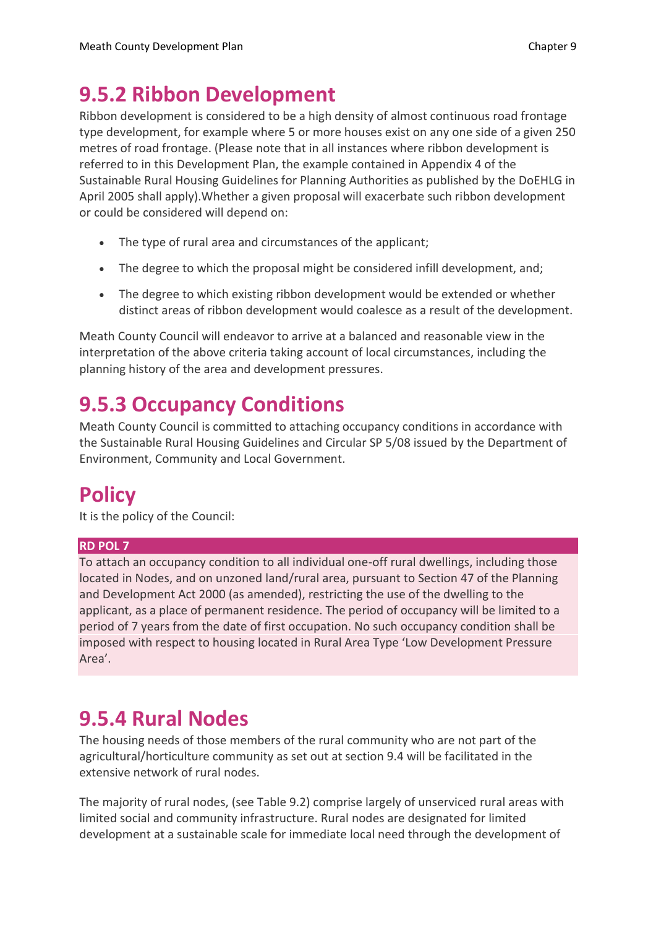## **9.5.2 Ribbon Development**

Ribbon development is considered to be a high density of almost continuous road frontage type development, for example where 5 or more houses exist on any one side of a given 250 metres of road frontage. (Please note that in all instances where ribbon development is referred to in this Development Plan, the example contained in Appendix 4 of the Sustainable Rural Housing Guidelines for Planning Authorities as published by the DoEHLG in April 2005 shall apply).Whether a given proposal will exacerbate such ribbon development or could be considered will depend on:

- The type of rural area and circumstances of the applicant;
- The degree to which the proposal might be considered infill development, and;
- The degree to which existing ribbon development would be extended or whether distinct areas of ribbon development would coalesce as a result of the development.

Meath County Council will endeavor to arrive at a balanced and reasonable view in the interpretation of the above criteria taking account of local circumstances, including the planning history of the area and development pressures.

## **9.5.3 Occupancy Conditions**

Meath County Council is committed to attaching occupancy conditions in accordance with the Sustainable Rural Housing Guidelines and Circular SP 5/08 issued by the Department of Environment, Community and Local Government.

## **Policy**

It is the policy of the Council:

#### **RD POL 7**

To attach an occupancy condition to all individual one-off rural dwellings, including those located in Nodes, and on unzoned land/rural area, pursuant to Section 47 of the Planning and Development Act 2000 (as amended), restricting the use of the dwelling to the applicant, as a place of permanent residence. The period of occupancy will be limited to a period of 7 years from the date of first occupation. No such occupancy condition shall be imposed with respect to housing located in Rural Area Type 'Low Development Pressure Area'.

## **9.5.4 Rural Nodes**

The housing needs of those members of the rural community who are not part of the agricultural/horticulture community as set out at section 9.4 will be facilitated in the extensive network of rural nodes.

The majority of rural nodes, (see Table 9.2) comprise largely of unserviced rural areas with limited social and community infrastructure. Rural nodes are designated for limited development at a sustainable scale for immediate local need through the development of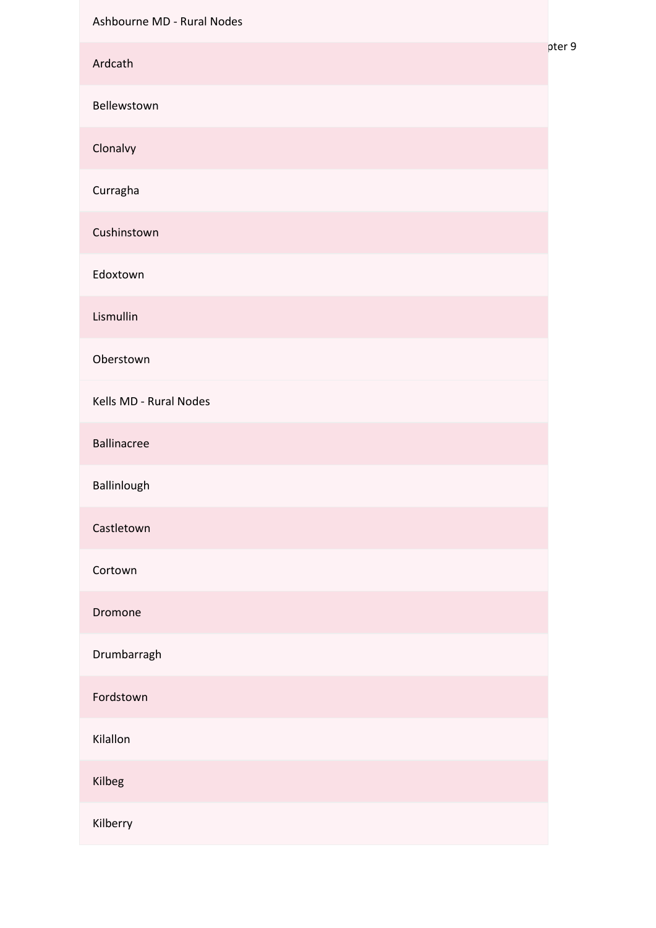| Ashbourne MD - Rural Nodes |        |
|----------------------------|--------|
| Ardcath                    | pter 9 |
| Bellewstown                |        |
| Clonalvy                   |        |
| Curragha                   |        |
| Cushinstown                |        |
| Edoxtown                   |        |
| Lismullin                  |        |
| Oberstown                  |        |
| Kells MD - Rural Nodes     |        |
| <b>Ballinacree</b>         |        |
| Ballinlough                |        |
| Castletown                 |        |
| Cortown                    |        |
| Dromone                    |        |
| Drumbarragh                |        |
| Fordstown                  |        |
| Kilallon                   |        |
| Kilbeg                     |        |
| Kilberry                   |        |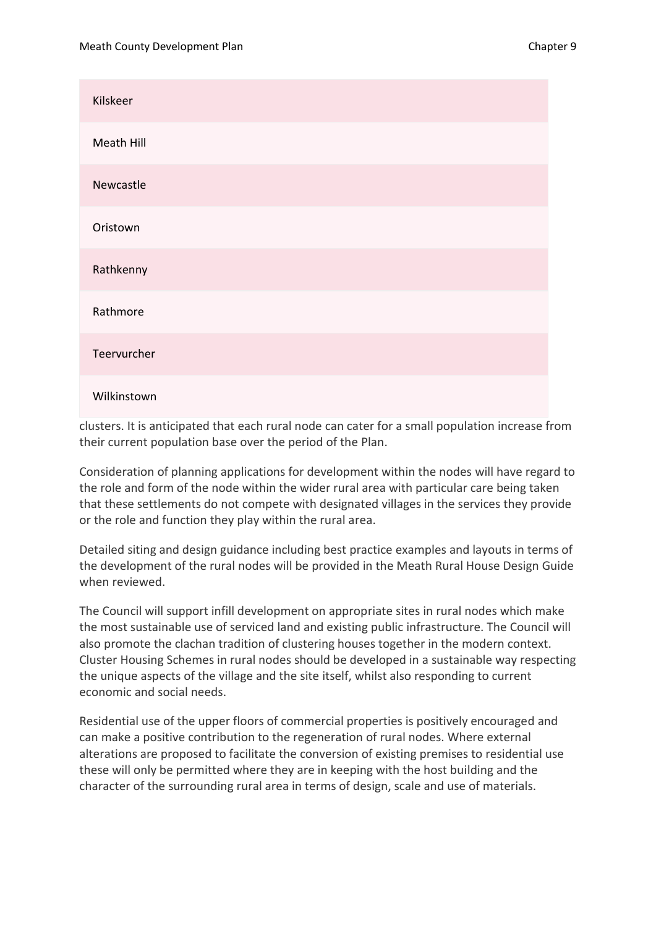| Kilskeer    |
|-------------|
| Meath Hill  |
| Newcastle   |
| Oristown    |
| Rathkenny   |
| Rathmore    |
| Teervurcher |
| Wilkinstown |

clusters. It is anticipated that each rural node can cater for a small population increase from their current population base over the period of the Plan.

Consideration of planning applications for development within the nodes will have regard to the role and form of the node within the wider rural area with particular care being taken that these settlements do not compete with designated villages in the services they provide or the role and function they play within the rural area.

Detailed siting and design guidance including best practice examples and layouts in terms of the development of the rural nodes will be provided in the Meath Rural House Design Guide when reviewed.

The Council will support infill development on appropriate sites in rural nodes which make the most sustainable use of serviced land and existing public infrastructure. The Council will also promote the clachan tradition of clustering houses together in the modern context. Cluster Housing Schemes in rural nodes should be developed in a sustainable way respecting the unique aspects of the village and the site itself, whilst also responding to current economic and social needs.

Residential use of the upper floors of commercial properties is positively encouraged and can make a positive contribution to the regeneration of rural nodes. Where external alterations are proposed to facilitate the conversion of existing premises to residential use these will only be permitted where they are in keeping with the host building and the character of the surrounding rural area in terms of design, scale and use of materials.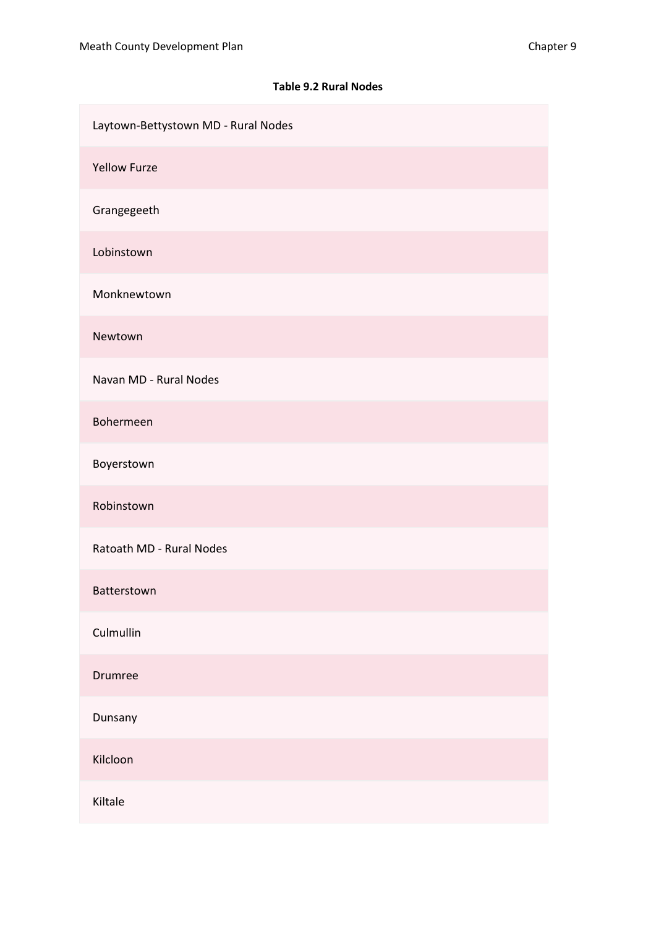| Laytown-Bettystown MD - Rural Nodes |
|-------------------------------------|
| <b>Yellow Furze</b>                 |
| Grangegeeth                         |
| Lobinstown                          |
| Monknewtown                         |
| Newtown                             |
| Navan MD - Rural Nodes              |
| Bohermeen                           |
| Boyerstown                          |
| Robinstown                          |
| Ratoath MD - Rural Nodes            |
| Batterstown                         |
| Culmullin                           |
| Drumree                             |
| Dunsany                             |
| Kilcloon                            |
| Kiltale                             |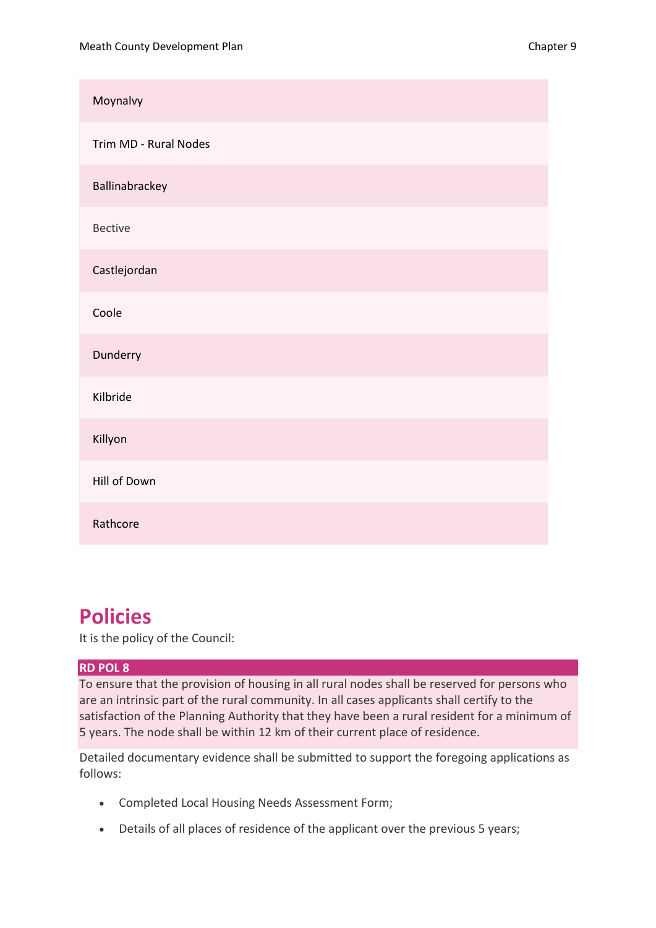| Moynalvy              |
|-----------------------|
| Trim MD - Rural Nodes |
| Ballinabrackey        |
| <b>Bective</b>        |
| Castlejordan          |
| Coole                 |
| Dunderry              |
| Kilbride              |
| Killyon               |
| Hill of Down          |
| Rathcore              |

### **Policies**

It is the policy of the Council:

#### **RD POL 8**

To ensure that the provision of housing in all rural nodes shall be reserved for persons who are an intrinsic part of the rural community. In all cases applicants shall certify to the satisfaction of the Planning Authority that they have been a rural resident for a minimum of 5 years. The node shall be within 12 km of their current place of residence.

Detailed documentary evidence shall be submitted to support the foregoing applications as follows:

- Completed Local Housing Needs Assessment Form;
- Details of all places of residence of the applicant over the previous 5 years;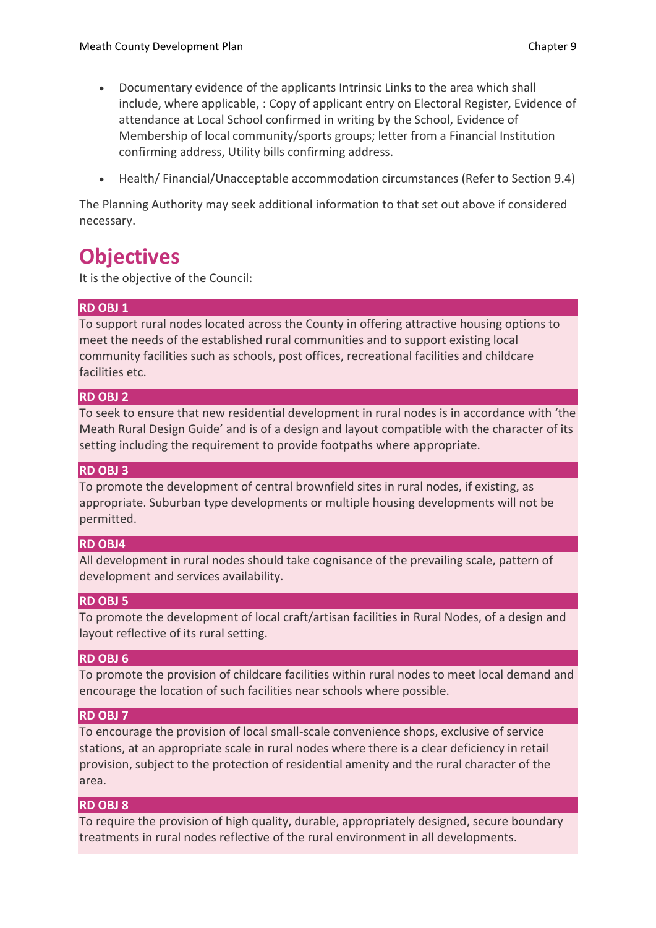- Documentary evidence of the applicants Intrinsic Links to the area which shall include, where applicable, : Copy of applicant entry on Electoral Register, Evidence of attendance at Local School confirmed in writing by the School, Evidence of Membership of local community/sports groups; letter from a Financial Institution confirming address, Utility bills confirming address.
- Health/ Financial/Unacceptable accommodation circumstances (Refer to Section 9.4)

The Planning Authority may seek additional information to that set out above if considered necessary.

## **Objectives**

It is the objective of the Council:

#### **RD OBJ 1**

To support rural nodes located across the County in offering attractive housing options to meet the needs of the established rural communities and to support existing local community facilities such as schools, post offices, recreational facilities and childcare facilities etc.

#### **RD OBJ 2**

To seek to ensure that new residential development in rural nodes is in accordance with 'the Meath Rural Design Guide' and is of a design and layout compatible with the character of its setting including the requirement to provide footpaths where appropriate.

#### **RD OBJ 3**

To promote the development of central brownfield sites in rural nodes, if existing, as appropriate. Suburban type developments or multiple housing developments will not be permitted.

#### **RD OBJ4**

All development in rural nodes should take cognisance of the prevailing scale, pattern of development and services availability.

#### **RD OBJ 5**

To promote the development of local craft/artisan facilities in Rural Nodes, of a design and layout reflective of its rural setting.

#### **RD OBJ 6**

To promote the provision of childcare facilities within rural nodes to meet local demand and encourage the location of such facilities near schools where possible.

#### **RD OBJ 7**

To encourage the provision of local small-scale convenience shops, exclusive of service stations, at an appropriate scale in rural nodes where there is a clear deficiency in retail provision, subject to the protection of residential amenity and the rural character of the area.

#### **RD OBJ 8**

To require the provision of high quality, durable, appropriately designed, secure boundary treatments in rural nodes reflective of the rural environment in all developments.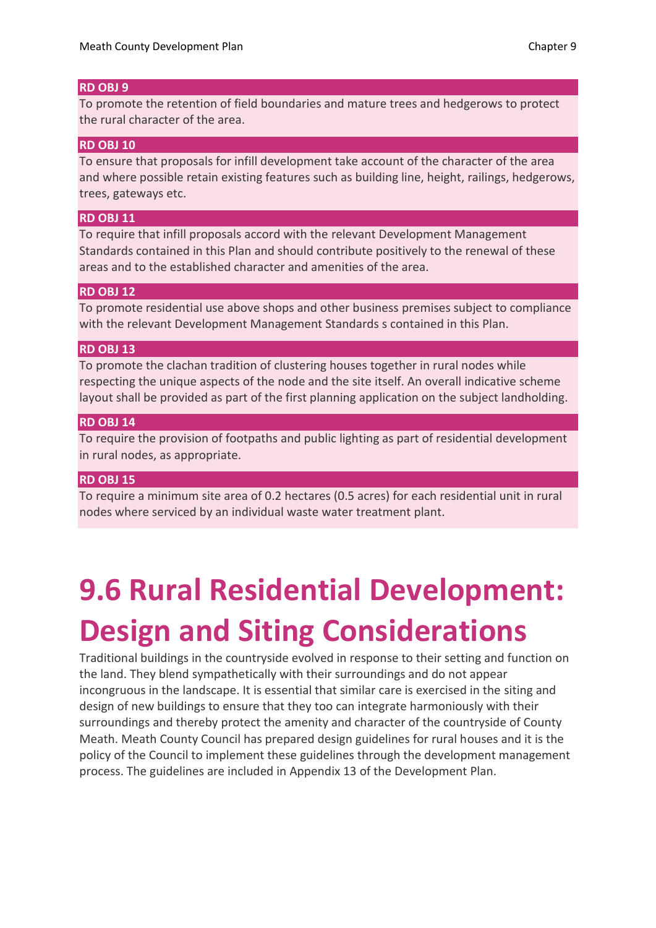#### **RD OBJ 9**

To promote the retention of field boundaries and mature trees and hedgerows to protect the rural character of the area.

#### **RD OBJ 10**

To ensure that proposals for infill development take account of the character of the area and where possible retain existing features such as building line, height, railings, hedgerows, trees, gateways etc.

#### **RD OBJ 11**

To require that infill proposals accord with the relevant Development Management Standards contained in this Plan and should contribute positively to the renewal of these areas and to the established character and amenities of the area.

#### **RD OBJ 12**

To promote residential use above shops and other business premises subject to compliance with the relevant Development Management Standards s contained in this Plan.

#### **RD OBJ 13**

To promote the clachan tradition of clustering houses together in rural nodes while respecting the unique aspects of the node and the site itself. An overall indicative scheme layout shall be provided as part of the first planning application on the subject landholding.

#### **RD OBJ 14**

To require the provision of footpaths and public lighting as part of residential development in rural nodes, as appropriate.

#### **RD OBJ 15**

To require a minimum site area of 0.2 hectares (0.5 acres) for each residential unit in rural nodes where serviced by an individual waste water treatment plant.

# **9.6 Rural Residential Development: Design and Siting Considerations**

Traditional buildings in the countryside evolved in response to their setting and function on the land. They blend sympathetically with their surroundings and do not appear incongruous in the landscape. It is essential that similar care is exercised in the siting and design of new buildings to ensure that they too can integrate harmoniously with their surroundings and thereby protect the amenity and character of the countryside of County Meath. Meath County Council has prepared design guidelines for rural houses and it is the policy of the Council to implement these guidelines through the development management process. The guidelines are included in Appendix 13 of the Development Plan.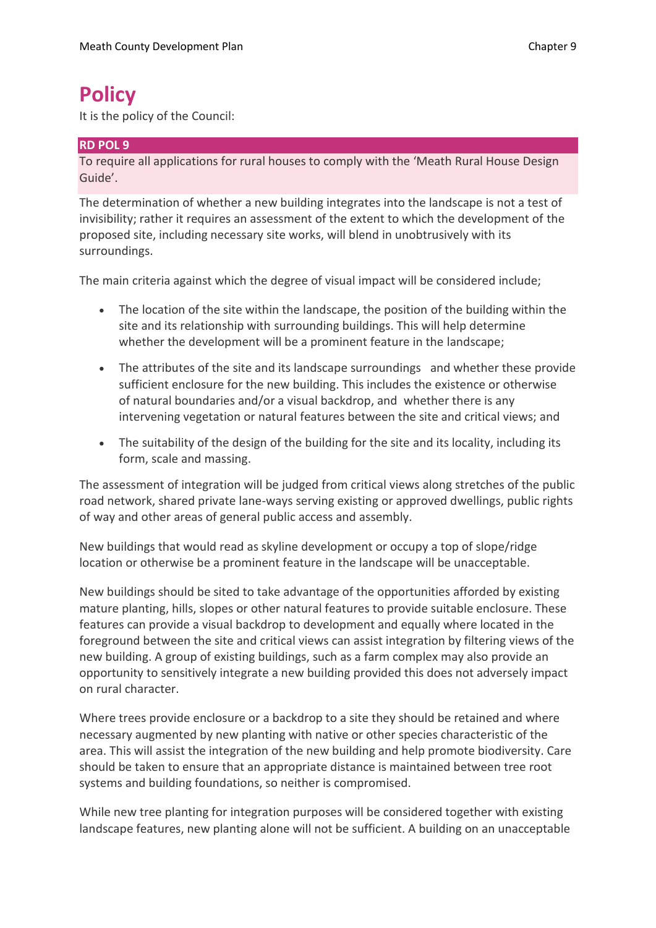## **Policy**

It is the policy of the Council:

#### **RD POL 9**

To require all applications for rural houses to comply with the 'Meath Rural House Design Guide'.

The determination of whether a new building integrates into the landscape is not a test of invisibility; rather it requires an assessment of the extent to which the development of the proposed site, including necessary site works, will blend in unobtrusively with its surroundings.

The main criteria against which the degree of visual impact will be considered include;

- The location of the site within the landscape, the position of the building within the site and its relationship with surrounding buildings. This will help determine whether the development will be a prominent feature in the landscape;
- The attributes of the site and its landscape surroundings and whether these provide sufficient enclosure for the new building. This includes the existence or otherwise of natural boundaries and/or a visual backdrop, and whether there is any intervening vegetation or natural features between the site and critical views; and
- The suitability of the design of the building for the site and its locality, including its form, scale and massing.

The assessment of integration will be judged from critical views along stretches of the public road network, shared private lane-ways serving existing or approved dwellings, public rights of way and other areas of general public access and assembly.

New buildings that would read as skyline development or occupy a top of slope/ridge location or otherwise be a prominent feature in the landscape will be unacceptable.

New buildings should be sited to take advantage of the opportunities afforded by existing mature planting, hills, slopes or other natural features to provide suitable enclosure. These features can provide a visual backdrop to development and equally where located in the foreground between the site and critical views can assist integration by filtering views of the new building. A group of existing buildings, such as a farm complex may also provide an opportunity to sensitively integrate a new building provided this does not adversely impact on rural character.

Where trees provide enclosure or a backdrop to a site they should be retained and where necessary augmented by new planting with native or other species characteristic of the area. This will assist the integration of the new building and help promote biodiversity. Care should be taken to ensure that an appropriate distance is maintained between tree root systems and building foundations, so neither is compromised.

While new tree planting for integration purposes will be considered together with existing landscape features, new planting alone will not be sufficient. A building on an unacceptable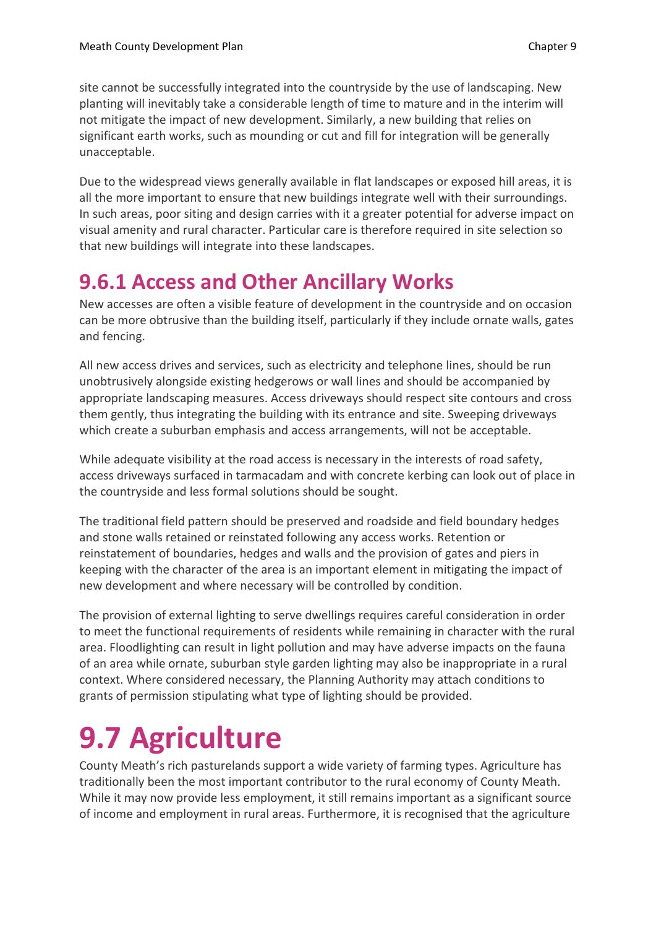site cannot be successfully integrated into the countryside by the use of landscaping. New planting will inevitably take a considerable length of time to mature and in the interim will not mitigate the impact of new development. Similarly, a new building that relies on significant earth works, such as mounding or cut and fill for integration will be generally unacceptable.

Due to the widespread views generally available in flat landscapes or exposed hill areas, it is all the more important to ensure that new buildings integrate well with their surroundings. In such areas, poor siting and design carries with it a greater potential for adverse impact on visual amenity and rural character. Particular care is therefore required in site selection so that new buildings will integrate into these landscapes.

## **9.6.1 Access and Other Ancillary Works**

New accesses are often a visible feature of development in the countryside and on occasion can be more obtrusive than the building itself, particularly if they include ornate walls, gates and fencing.

All new access drives and services, such as electricity and telephone lines, should be run unobtrusively alongside existing hedgerows or wall lines and should be accompanied by appropriate landscaping measures. Access driveways should respect site contours and cross them gently, thus integrating the building with its entrance and site. Sweeping driveways which create a suburban emphasis and access arrangements, will not be acceptable.

While adequate visibility at the road access is necessary in the interests of road safety, access driveways surfaced in tarmacadam and with concrete kerbing can look out of place in the countryside and less formal solutions should be sought.

The traditional field pattern should be preserved and roadside and field boundary hedges and stone walls retained or reinstated following any access works. Retention or reinstatement of boundaries, hedges and walls and the provision of gates and piers in keeping with the character of the area is an important element in mitigating the impact of new development and where necessary will be controlled by condition.

The provision of external lighting to serve dwellings requires careful consideration in order to meet the functional requirements of residents while remaining in character with the rural area. Floodlighting can result in light pollution and may have adverse impacts on the fauna of an area while ornate, suburban style garden lighting may also be inappropriate in a rural context. Where considered necessary, the Planning Authority may attach conditions to grants of permission stipulating what type of lighting should be provided.

# **9.7 Agriculture**

County Meath's rich pasturelands support a wide variety of farming types. Agriculture has traditionally been the most important contributor to the rural economy of County Meath. While it may now provide less employment, it still remains important as a significant source of income and employment in rural areas. Furthermore, it is recognised that the agriculture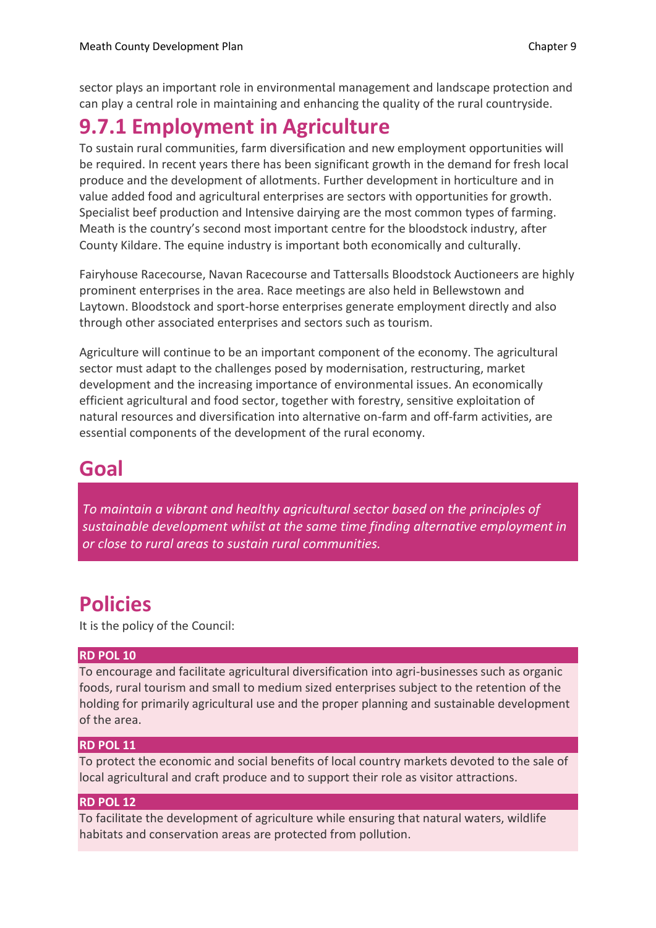sector plays an important role in environmental management and landscape protection and can play a central role in maintaining and enhancing the quality of the rural countryside.

## **9.7.1 Employment in Agriculture**

To sustain rural communities, farm diversification and new employment opportunities will be required. In recent years there has been significant growth in the demand for fresh local produce and the development of allotments. Further development in horticulture and in value added food and agricultural enterprises are sectors with opportunities for growth. Specialist beef production and Intensive dairying are the most common types of farming. Meath is the country's second most important centre for the bloodstock industry, after County Kildare. The equine industry is important both economically and culturally.

Fairyhouse Racecourse, Navan Racecourse and Tattersalls Bloodstock Auctioneers are highly prominent enterprises in the area. Race meetings are also held in Bellewstown and Laytown. Bloodstock and sport-horse enterprises generate employment directly and also through other associated enterprises and sectors such as tourism.

Agriculture will continue to be an important component of the economy. The agricultural sector must adapt to the challenges posed by modernisation, restructuring, market development and the increasing importance of environmental issues. An economically efficient agricultural and food sector, together with forestry, sensitive exploitation of natural resources and diversification into alternative on-farm and off-farm activities, are essential components of the development of the rural economy.

### **Goal**

*To maintain a vibrant and healthy agricultural sector based on the principles of sustainable development whilst at the same time finding alternative employment in or close to rural areas to sustain rural communities.*

### **Policies**

It is the policy of the Council:

#### **RD POL 10**

To encourage and facilitate agricultural diversification into agri-businesses such as organic foods, rural tourism and small to medium sized enterprises subject to the retention of the holding for primarily agricultural use and the proper planning and sustainable development of the area.

#### **RD POL 11**

To protect the economic and social benefits of local country markets devoted to the sale of local agricultural and craft produce and to support their role as visitor attractions.

#### **RD POL 12**

To facilitate the development of agriculture while ensuring that natural waters, wildlife habitats and conservation areas are protected from pollution.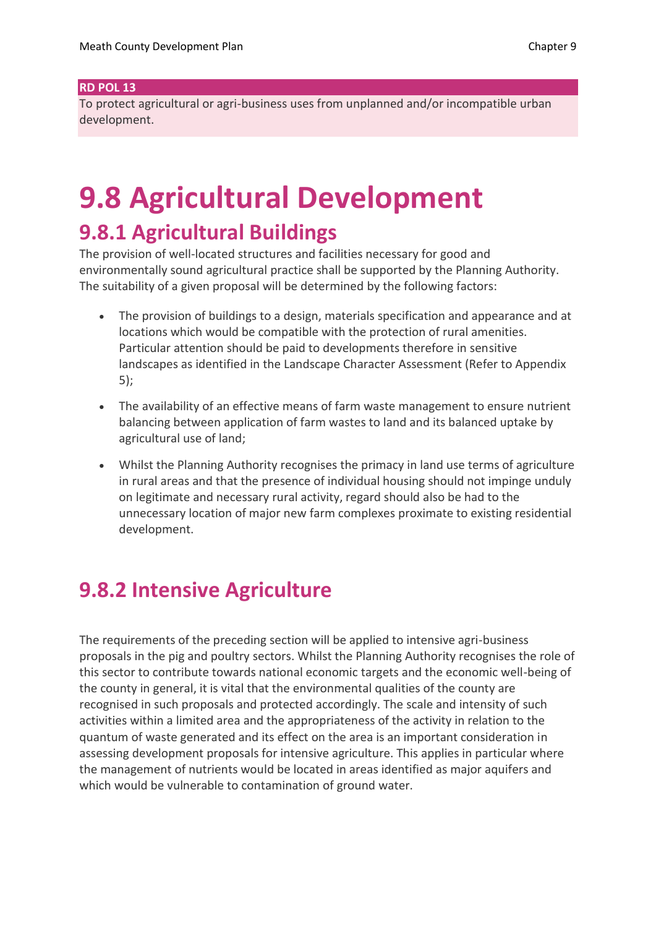#### **RD POL 13**

To protect agricultural or agri-business uses from unplanned and/or incompatible urban development.

# **9.8 Agricultural Development**

### **9.8.1 Agricultural Buildings**

The provision of well-located structures and facilities necessary for good and environmentally sound agricultural practice shall be supported by the Planning Authority. The suitability of a given proposal will be determined by the following factors:

- The provision of buildings to a design, materials specification and appearance and at locations which would be compatible with the protection of rural amenities. Particular attention should be paid to developments therefore in sensitive landscapes as identified in the Landscape Character Assessment (Refer to Appendix 5);
- The availability of an effective means of farm waste management to ensure nutrient balancing between application of farm wastes to land and its balanced uptake by agricultural use of land;
- Whilst the Planning Authority recognises the primacy in land use terms of agriculture in rural areas and that the presence of individual housing should not impinge unduly on legitimate and necessary rural activity, regard should also be had to the unnecessary location of major new farm complexes proximate to existing residential development.

### **9.8.2 Intensive Agriculture**

The requirements of the preceding section will be applied to intensive agri-business proposals in the pig and poultry sectors. Whilst the Planning Authority recognises the role of this sector to contribute towards national economic targets and the economic well-being of the county in general, it is vital that the environmental qualities of the county are recognised in such proposals and protected accordingly. The scale and intensity of such activities within a limited area and the appropriateness of the activity in relation to the quantum of waste generated and its effect on the area is an important consideration in assessing development proposals for intensive agriculture. This applies in particular where the management of nutrients would be located in areas identified as major aquifers and which would be vulnerable to contamination of ground water.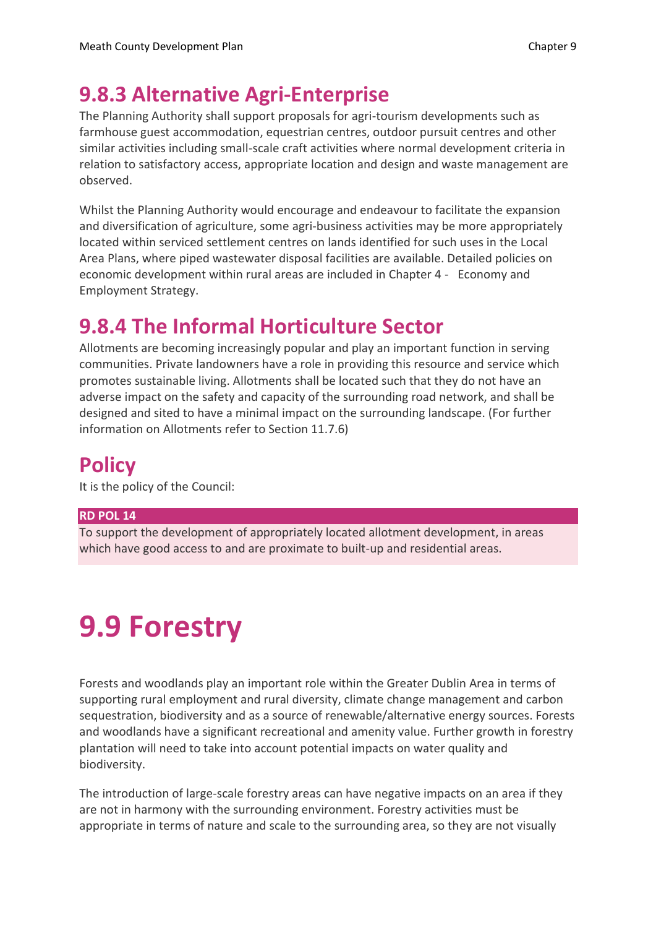## **9.8.3 Alternative Agri-Enterprise**

The Planning Authority shall support proposals for agri-tourism developments such as farmhouse guest accommodation, equestrian centres, outdoor pursuit centres and other similar activities including small-scale craft activities where normal development criteria in relation to satisfactory access, appropriate location and design and waste management are observed.

Whilst the Planning Authority would encourage and endeavour to facilitate the expansion and diversification of agriculture, some agri-business activities may be more appropriately located within serviced settlement centres on lands identified for such uses in the Local Area Plans, where piped wastewater disposal facilities are available. Detailed policies on economic development within rural areas are included in Chapter 4 - Economy and Employment Strategy.

## **9.8.4 The Informal Horticulture Sector**

Allotments are becoming increasingly popular and play an important function in serving communities. Private landowners have a role in providing this resource and service which promotes sustainable living. Allotments shall be located such that they do not have an adverse impact on the safety and capacity of the surrounding road network, and shall be designed and sited to have a minimal impact on the surrounding landscape. (For further information on Allotments refer to Section 11.7.6)

## **Policy**

It is the policy of the Council:

#### **RD POL 14**

To support the development of appropriately located allotment development, in areas which have good access to and are proximate to built-up and residential areas.

# **9.9 Forestry**

Forests and woodlands play an important role within the Greater Dublin Area in terms of supporting rural employment and rural diversity, climate change management and carbon sequestration, biodiversity and as a source of renewable/alternative energy sources. Forests and woodlands have a significant recreational and amenity value. Further growth in forestry plantation will need to take into account potential impacts on water quality and biodiversity.

The introduction of large-scale forestry areas can have negative impacts on an area if they are not in harmony with the surrounding environment. Forestry activities must be appropriate in terms of nature and scale to the surrounding area, so they are not visually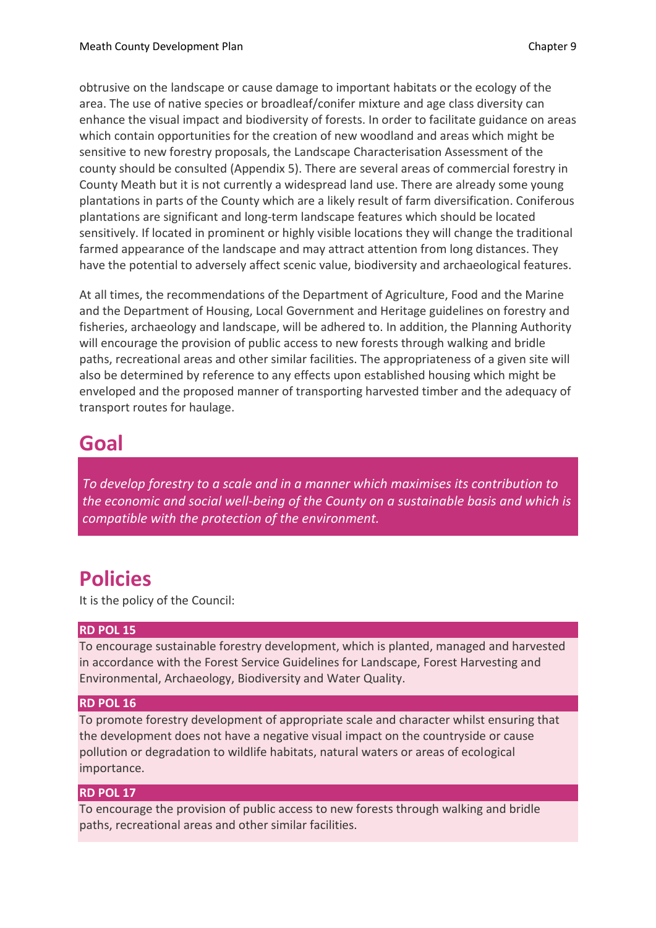obtrusive on the landscape or cause damage to important habitats or the ecology of the area. The use of native species or broadleaf/conifer mixture and age class diversity can enhance the visual impact and biodiversity of forests. In order to facilitate guidance on areas which contain opportunities for the creation of new woodland and areas which might be sensitive to new forestry proposals, the Landscape Characterisation Assessment of the county should be consulted (Appendix 5). There are several areas of commercial forestry in County Meath but it is not currently a widespread land use. There are already some young plantations in parts of the County which are a likely result of farm diversification. Coniferous plantations are significant and long-term landscape features which should be located sensitively. If located in prominent or highly visible locations they will change the traditional farmed appearance of the landscape and may attract attention from long distances. They have the potential to adversely affect scenic value, biodiversity and archaeological features.

At all times, the recommendations of the Department of Agriculture, Food and the Marine and the Department of Housing, Local Government and Heritage guidelines on forestry and fisheries, archaeology and landscape, will be adhered to. In addition, the Planning Authority will encourage the provision of public access to new forests through walking and bridle paths, recreational areas and other similar facilities. The appropriateness of a given site will also be determined by reference to any effects upon established housing which might be enveloped and the proposed manner of transporting harvested timber and the adequacy of transport routes for haulage.

### **Goal**

*To develop forestry to a scale and in a manner which maximises its contribution to the economic and social well-being of the County on a sustainable basis and which is compatible with the protection of the environment.*

## **Policies**

It is the policy of the Council:

#### **RD POL 15**

To encourage sustainable forestry development, which is planted, managed and harvested in accordance with the Forest Service Guidelines for Landscape, Forest Harvesting and Environmental, Archaeology, Biodiversity and Water Quality.

#### **RD POL 16**

To promote forestry development of appropriate scale and character whilst ensuring that the development does not have a negative visual impact on the countryside or cause pollution or degradation to wildlife habitats, natural waters or areas of ecological importance.

#### **RD POL 17**

To encourage the provision of public access to new forests through walking and bridle paths, recreational areas and other similar facilities.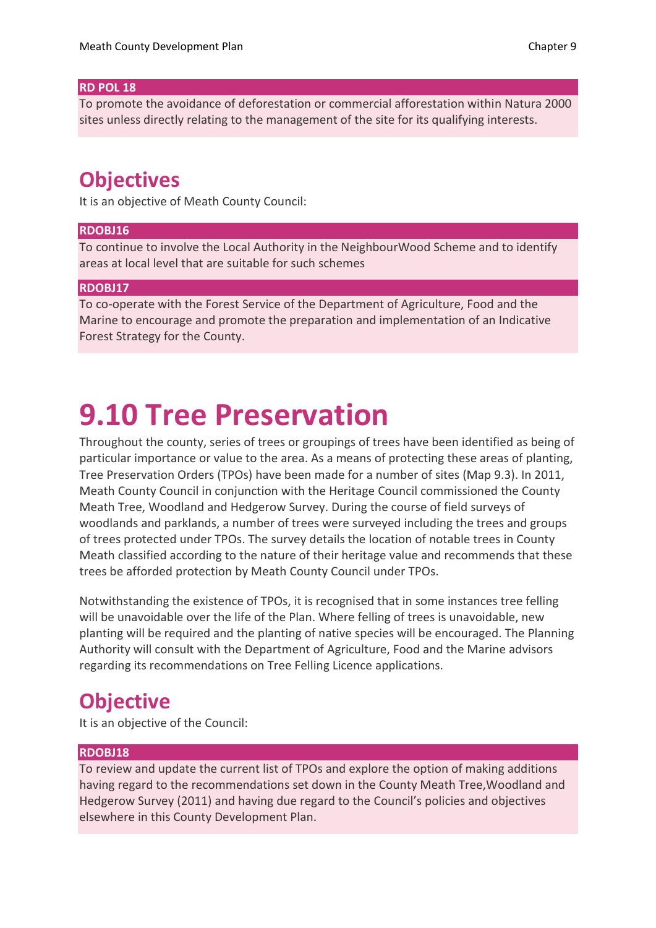#### **RD POL 18**

To promote the avoidance of deforestation or commercial afforestation within Natura 2000 sites unless directly relating to the management of the site for its qualifying interests.

### **Objectives**

It is an objective of Meath County Council:

#### **RDOBJ16**

To continue to involve the Local Authority in the NeighbourWood Scheme and to identify areas at local level that are suitable for such schemes

#### **RDOBJ17**

To co-operate with the Forest Service of the Department of Agriculture, Food and the Marine to encourage and promote the preparation and implementation of an Indicative Forest Strategy for the County.

# **9.10 Tree Preservation**

Throughout the county, series of trees or groupings of trees have been identified as being of particular importance or value to the area. As a means of protecting these areas of planting, Tree Preservation Orders (TPOs) have been made for a number of sites (Map 9.3). In 2011, Meath County Council in conjunction with the Heritage Council commissioned the County Meath Tree, Woodland and Hedgerow Survey. During the course of field surveys of woodlands and parklands, a number of trees were surveyed including the trees and groups of trees protected under TPOs. The survey details the location of notable trees in County Meath classified according to the nature of their heritage value and recommends that these trees be afforded protection by Meath County Council under TPOs.

Notwithstanding the existence of TPOs, it is recognised that in some instances tree felling will be unavoidable over the life of the Plan. Where felling of trees is unavoidable, new planting will be required and the planting of native species will be encouraged. The Planning Authority will consult with the Department of Agriculture, Food and the Marine advisors regarding its recommendations on Tree Felling Licence applications.

## **Objective**

It is an objective of the Council:

#### **RDOBJ18**

To review and update the current list of TPOs and explore the option of making additions having regard to the recommendations set down in the County Meath Tree,Woodland and Hedgerow Survey (2011) and having due regard to the Council's policies and objectives elsewhere in this County Development Plan.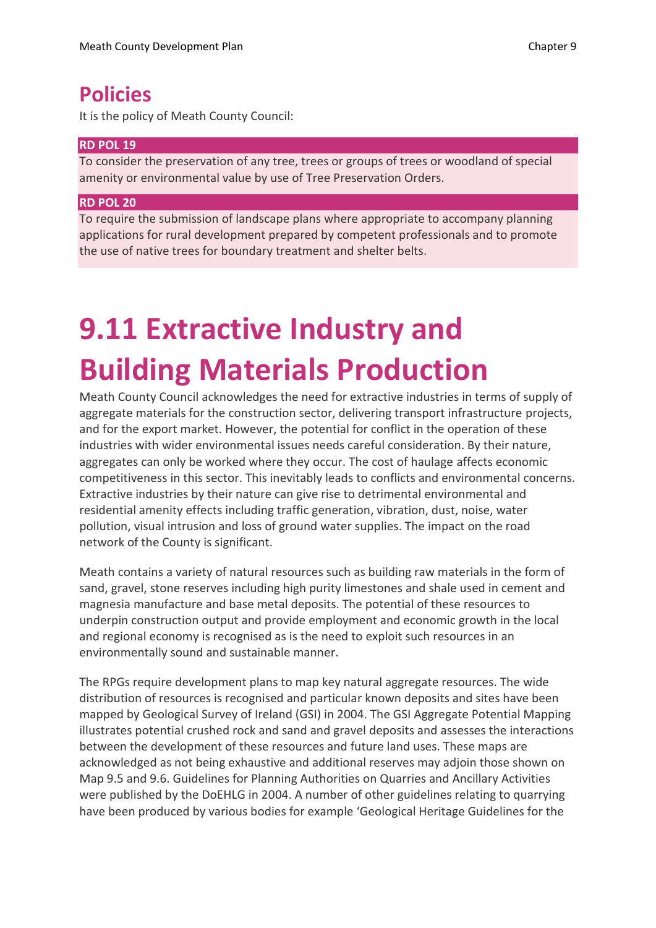### **Policies**

It is the policy of Meath County Council:

#### **RD POL 19**

To consider the preservation of any tree, trees or groups of trees or woodland of special amenity or environmental value by use of Tree Preservation Orders.

#### **RD POL 20**

To require the submission of landscape plans where appropriate to accompany planning applications for rural development prepared by competent professionals and to promote the use of native trees for boundary treatment and shelter belts.

# **9.11 Extractive Industry and Building Materials Production**

Meath County Council acknowledges the need for extractive industries in terms of supply of aggregate materials for the construction sector, delivering transport infrastructure projects, and for the export market. However, the potential for conflict in the operation of these industries with wider environmental issues needs careful consideration. By their nature, aggregates can only be worked where they occur. The cost of haulage affects economic competitiveness in this sector. This inevitably leads to conflicts and environmental concerns. Extractive industries by their nature can give rise to detrimental environmental and residential amenity effects including traffic generation, vibration, dust, noise, water pollution, visual intrusion and loss of ground water supplies. The impact on the road network of the County is significant.

Meath contains a variety of natural resources such as building raw materials in the form of sand, gravel, stone reserves including high purity limestones and shale used in cement and magnesia manufacture and base metal deposits. The potential of these resources to underpin construction output and provide employment and economic growth in the local and regional economy is recognised as is the need to exploit such resources in an environmentally sound and sustainable manner.

The RPGs require development plans to map key natural aggregate resources. The wide distribution of resources is recognised and particular known deposits and sites have been mapped by Geological Survey of Ireland (GSI) in 2004. The GSI Aggregate Potential Mapping illustrates potential crushed rock and sand and gravel deposits and assesses the interactions between the development of these resources and future land uses. These maps are acknowledged as not being exhaustive and additional reserves may adjoin those shown on Map 9.5 and 9.6. Guidelines for Planning Authorities on Quarries and Ancillary Activities were published by the DoEHLG in 2004. A number of other guidelines relating to quarrying have been produced by various bodies for example 'Geological Heritage Guidelines for the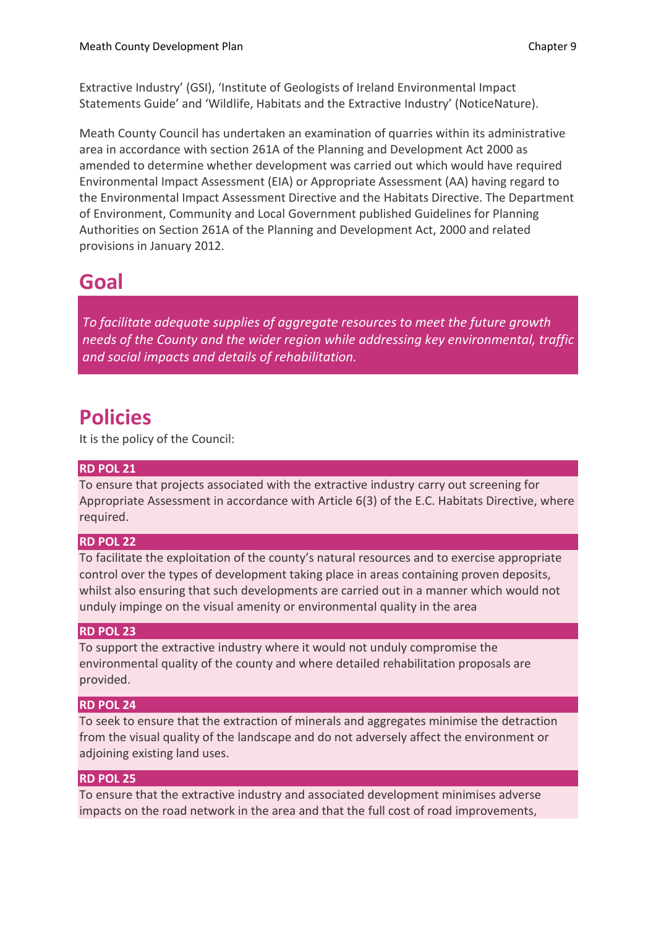Extractive Industry' (GSI), 'Institute of Geologists of Ireland Environmental Impact Statements Guide' and 'Wildlife, Habitats and the Extractive Industry' (NoticeNature).

Meath County Council has undertaken an examination of quarries within its administrative area in accordance with section 261A of the Planning and Development Act 2000 as amended to determine whether development was carried out which would have required Environmental Impact Assessment (EIA) or Appropriate Assessment (AA) having regard to the Environmental Impact Assessment Directive and the Habitats Directive. The Department of Environment, Community and Local Government published Guidelines for Planning Authorities on Section 261A of the Planning and Development Act, 2000 and related provisions in January 2012.

### **Goal**

*To facilitate adequate supplies of aggregate resources to meet the future growth needs of the County and the wider region while addressing key environmental, traffic and social impacts and details of rehabilitation.*

### **Policies**

It is the policy of the Council:

#### **RD POL 21**

To ensure that projects associated with the extractive industry carry out screening for Appropriate Assessment in accordance with Article 6(3) of the E.C. Habitats Directive, where required.

#### **RD POL 22**

To facilitate the exploitation of the county's natural resources and to exercise appropriate control over the types of development taking place in areas containing proven deposits, whilst also ensuring that such developments are carried out in a manner which would not unduly impinge on the visual amenity or environmental quality in the area

#### **RD POL 23**

To support the extractive industry where it would not unduly compromise the environmental quality of the county and where detailed rehabilitation proposals are provided.

#### **RD POL 24**

To seek to ensure that the extraction of minerals and aggregates minimise the detraction from the visual quality of the landscape and do not adversely affect the environment or adjoining existing land uses.

#### **RD POL 25**

To ensure that the extractive industry and associated development minimises adverse impacts on the road network in the area and that the full cost of road improvements,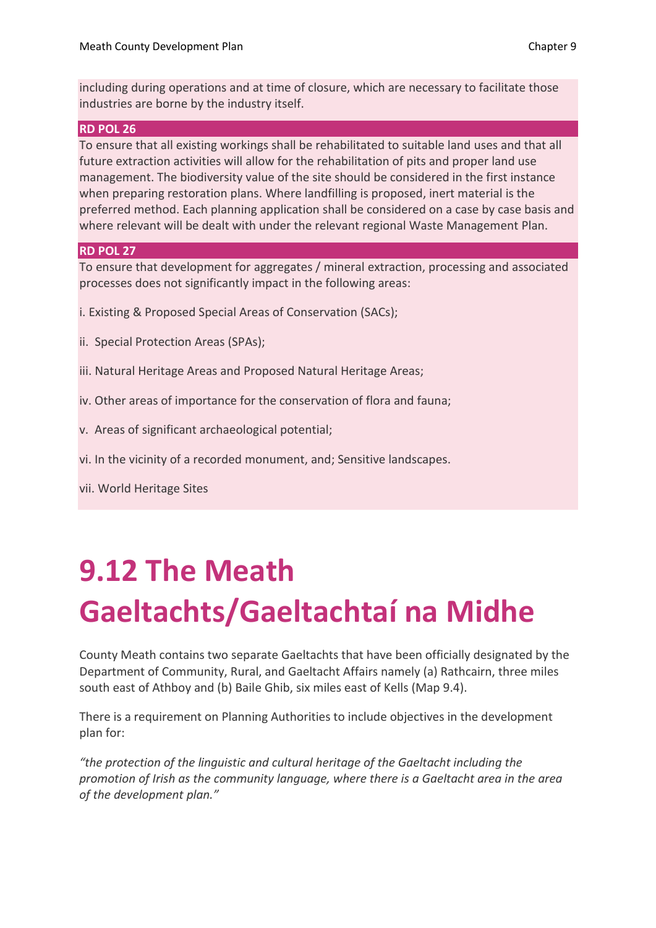including during operations and at time of closure, which are necessary to facilitate those industries are borne by the industry itself.

#### **RD POL 26**

To ensure that all existing workings shall be rehabilitated to suitable land uses and that all future extraction activities will allow for the rehabilitation of pits and proper land use management. The biodiversity value of the site should be considered in the first instance when preparing restoration plans. Where landfilling is proposed, inert material is the preferred method. Each planning application shall be considered on a case by case basis and where relevant will be dealt with under the relevant regional Waste Management Plan.

#### **RD POL 27**

To ensure that development for aggregates / mineral extraction, processing and associated processes does not significantly impact in the following areas:

- i. Existing & Proposed Special Areas of Conservation (SACs);
- ii. Special Protection Areas (SPAs);
- iii. Natural Heritage Areas and Proposed Natural Heritage Areas;
- iv. Other areas of importance for the conservation of flora and fauna;
- v. Areas of significant archaeological potential;
- vi. In the vicinity of a recorded monument, and; Sensitive landscapes.

vii. World Heritage Sites

# **9.12 The Meath Gaeltachts/Gaeltachtaí na Midhe**

County Meath contains two separate Gaeltachts that have been officially designated by the Department of Community, Rural, and Gaeltacht Affairs namely (a) Rathcairn, three miles south east of Athboy and (b) Baile Ghib, six miles east of Kells (Map 9.4).

There is a requirement on Planning Authorities to include objectives in the development plan for:

*"the protection of the linguistic and cultural heritage of the Gaeltacht including the promotion of Irish as the community language, where there is a Gaeltacht area in the area of the development plan."*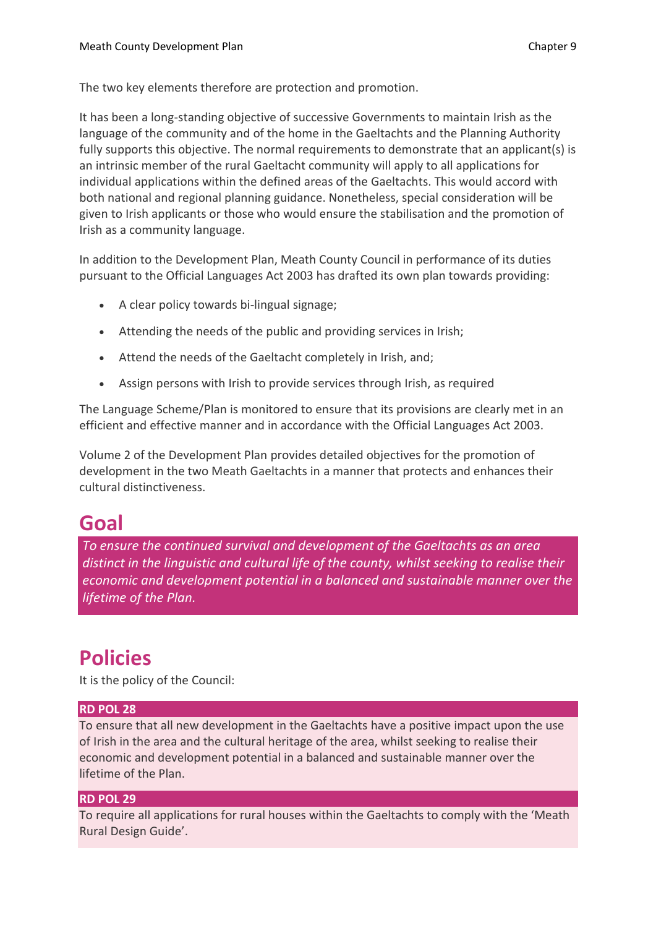The two key elements therefore are protection and promotion.

It has been a long-standing objective of successive Governments to maintain Irish as the language of the community and of the home in the Gaeltachts and the Planning Authority fully supports this objective. The normal requirements to demonstrate that an applicant(s) is an intrinsic member of the rural Gaeltacht community will apply to all applications for individual applications within the defined areas of the Gaeltachts. This would accord with both national and regional planning guidance. Nonetheless, special consideration will be given to Irish applicants or those who would ensure the stabilisation and the promotion of Irish as a community language.

In addition to the Development Plan, Meath County Council in performance of its duties pursuant to the Official Languages Act 2003 has drafted its own plan towards providing:

- A clear policy towards bi-lingual signage;
- Attending the needs of the public and providing services in Irish;
- Attend the needs of the Gaeltacht completely in Irish, and;
- Assign persons with Irish to provide services through Irish, as required

The Language Scheme/Plan is monitored to ensure that its provisions are clearly met in an efficient and effective manner and in accordance with the Official Languages Act 2003.

Volume 2 of the Development Plan provides detailed objectives for the promotion of development in the two Meath Gaeltachts in a manner that protects and enhances their cultural distinctiveness.

## **Goal**

*To ensure the continued survival and development of the Gaeltachts as an area distinct in the linguistic and cultural life of the county, whilst seeking to realise their economic and development potential in a balanced and sustainable manner over the lifetime of the Plan.*

## **Policies**

It is the policy of the Council:

#### **RD POL 28**

To ensure that all new development in the Gaeltachts have a positive impact upon the use of Irish in the area and the cultural heritage of the area, whilst seeking to realise their economic and development potential in a balanced and sustainable manner over the lifetime of the Plan.

#### **RD POL 29**

To require all applications for rural houses within the Gaeltachts to comply with the 'Meath Rural Design Guide'.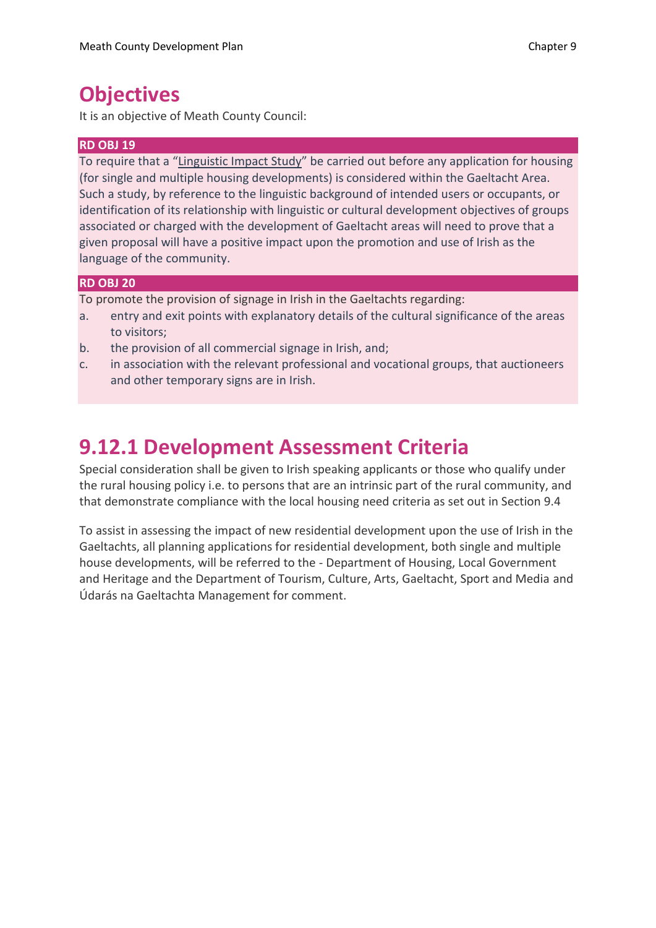### **Objectives**

It is an objective of Meath County Council:

#### **RD OBJ 19**

To require that a "Linguistic Impact Study" be carried out before any application for housing (for single and multiple housing developments) is considered within the Gaeltacht Area. Such a study, by reference to the linguistic background of intended users or occupants, or identification of its relationship with linguistic or cultural development objectives of groups associated or charged with the development of Gaeltacht areas will need to prove that a given proposal will have a positive impact upon the promotion and use of Irish as the language of the community.

#### **RD OBJ 20**

To promote the provision of signage in Irish in the Gaeltachts regarding:

- a. entry and exit points with explanatory details of the cultural significance of the areas to visitors;
- b. the provision of all commercial signage in Irish, and;
- c. in association with the relevant professional and vocational groups, that auctioneers and other temporary signs are in Irish.

## **9.12.1 Development Assessment Criteria**

Special consideration shall be given to Irish speaking applicants or those who qualify under the rural housing policy i.e. to persons that are an intrinsic part of the rural community, and that demonstrate compliance with the local housing need criteria as set out in Section 9.4

To assist in assessing the impact of new residential development upon the use of Irish in the Gaeltachts, all planning applications for residential development, both single and multiple house developments, will be referred to the - Department of Housing, Local Government and Heritage and the Department of Tourism, Culture, Arts, Gaeltacht, Sport and Media and Údarás na Gaeltachta Management for comment.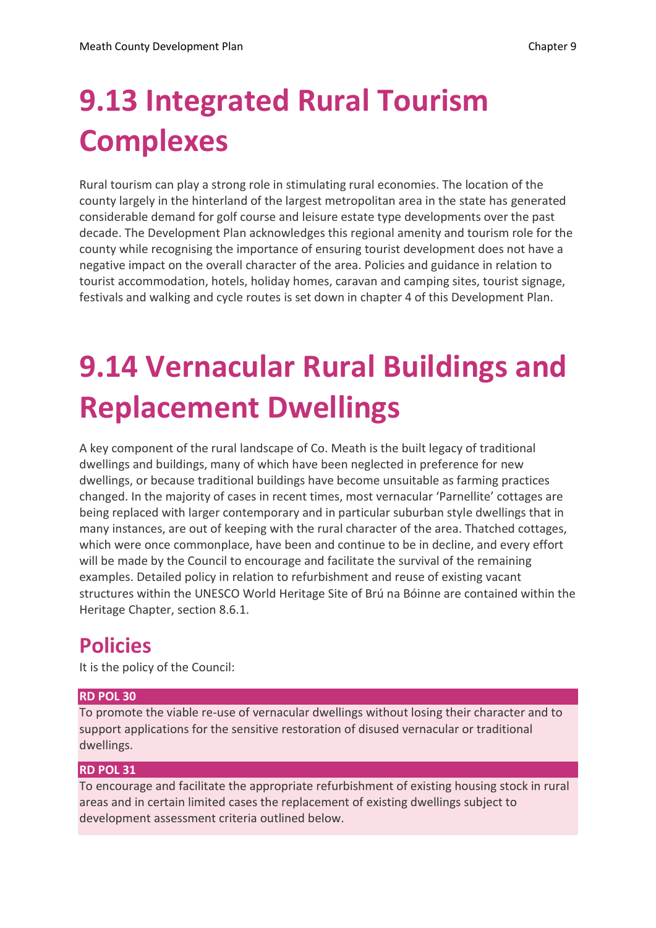# **9.13 Integrated Rural Tourism Complexes**

Rural tourism can play a strong role in stimulating rural economies. The location of the county largely in the hinterland of the largest metropolitan area in the state has generated considerable demand for golf course and leisure estate type developments over the past decade. The Development Plan acknowledges this regional amenity and tourism role for the county while recognising the importance of ensuring tourist development does not have a negative impact on the overall character of the area. Policies and guidance in relation to tourist accommodation, hotels, holiday homes, caravan and camping sites, tourist signage, festivals and walking and cycle routes is set down in chapter 4 of this Development Plan.

# **9.14 Vernacular Rural Buildings and Replacement Dwellings**

A key component of the rural landscape of Co. Meath is the built legacy of traditional dwellings and buildings, many of which have been neglected in preference for new dwellings, or because traditional buildings have become unsuitable as farming practices changed. In the majority of cases in recent times, most vernacular 'Parnellite' cottages are being replaced with larger contemporary and in particular suburban style dwellings that in many instances, are out of keeping with the rural character of the area. Thatched cottages, which were once commonplace, have been and continue to be in decline, and every effort will be made by the Council to encourage and facilitate the survival of the remaining examples. Detailed policy in relation to refurbishment and reuse of existing vacant structures within the UNESCO World Heritage Site of Brú na Bóinne are contained within the Heritage Chapter, section 8.6.1.

## **Policies**

It is the policy of the Council:

#### **RD POL 30**

To promote the viable re-use of vernacular dwellings without losing their character and to support applications for the sensitive restoration of disused vernacular or traditional dwellings.

#### **RD POL 31**

To encourage and facilitate the appropriate refurbishment of existing housing stock in rural areas and in certain limited cases the replacement of existing dwellings subject to development assessment criteria outlined below.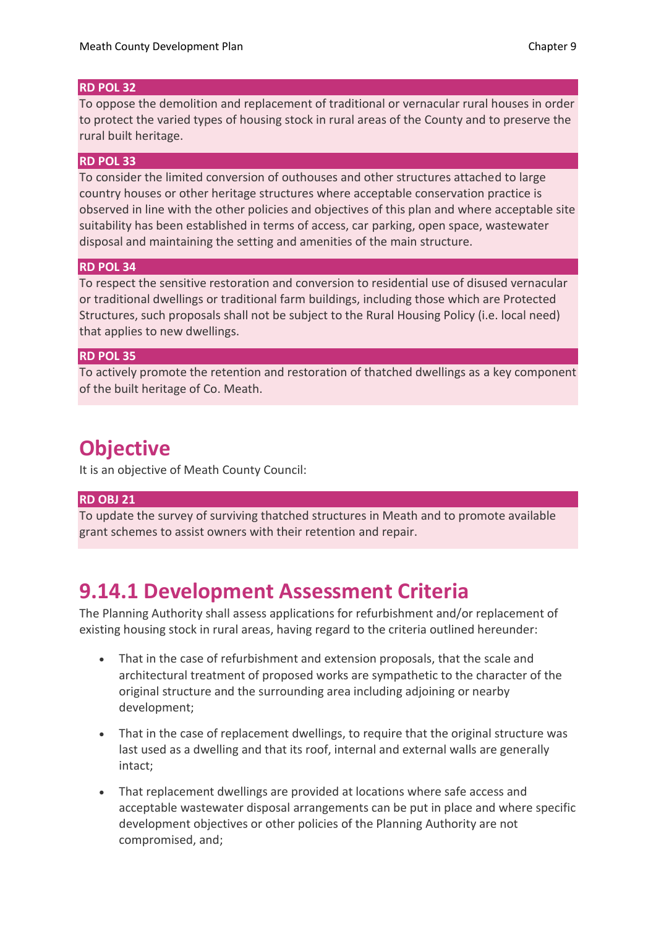#### **RD POL 32**

To oppose the demolition and replacement of traditional or vernacular rural houses in order to protect the varied types of housing stock in rural areas of the County and to preserve the rural built heritage.

#### **RD POL 33**

To consider the limited conversion of outhouses and other structures attached to large country houses or other heritage structures where acceptable conservation practice is observed in line with the other policies and objectives of this plan and where acceptable site suitability has been established in terms of access, car parking, open space, wastewater disposal and maintaining the setting and amenities of the main structure.

#### **RD POL 34**

To respect the sensitive restoration and conversion to residential use of disused vernacular or traditional dwellings or traditional farm buildings, including those which are Protected Structures, such proposals shall not be subject to the Rural Housing Policy (i.e. local need) that applies to new dwellings.

#### **RD POL 35**

To actively promote the retention and restoration of thatched dwellings as a key component of the built heritage of Co. Meath.

### **Objective**

It is an objective of Meath County Council:

#### **RD OBJ 21**

To update the survey of surviving thatched structures in Meath and to promote available grant schemes to assist owners with their retention and repair.

### **9.14.1 Development Assessment Criteria**

The Planning Authority shall assess applications for refurbishment and/or replacement of existing housing stock in rural areas, having regard to the criteria outlined hereunder:

- That in the case of refurbishment and extension proposals, that the scale and architectural treatment of proposed works are sympathetic to the character of the original structure and the surrounding area including adjoining or nearby development;
- That in the case of replacement dwellings, to require that the original structure was last used as a dwelling and that its roof, internal and external walls are generally intact;
- That replacement dwellings are provided at locations where safe access and acceptable wastewater disposal arrangements can be put in place and where specific development objectives or other policies of the Planning Authority are not compromised, and;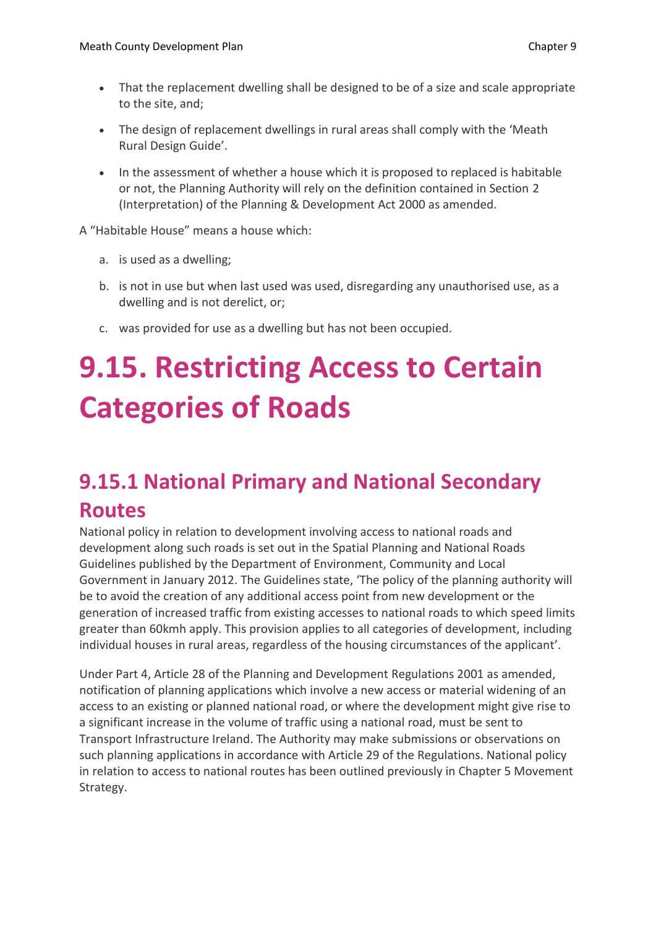- That the replacement dwelling shall be designed to be of a size and scale appropriate to the site, and;
- The design of replacement dwellings in rural areas shall comply with the 'Meath Rural Design Guide'.
- In the assessment of whether a house which it is proposed to replaced is habitable or not, the Planning Authority will rely on the definition contained in Section 2 (Interpretation) of the Planning & Development Act 2000 as amended.

A "Habitable House" means a house which:

- a. is used as a dwelling;
- b. is not in use but when last used was used, disregarding any unauthorised use, as a dwelling and is not derelict, or;
- c. was provided for use as a dwelling but has not been occupied.

# **9.15. Restricting Access to Certain Categories of Roads**

# **9.15.1 National Primary and National Secondary Routes**

National policy in relation to development involving access to national roads and development along such roads is set out in the Spatial Planning and National Roads Guidelines published by the Department of Environment, Community and Local Government in January 2012. The Guidelines state, 'The policy of the planning authority will be to avoid the creation of any additional access point from new development or the generation of increased traffic from existing accesses to national roads to which speed limits greater than 60kmh apply. This provision applies to all categories of development, including individual houses in rural areas, regardless of the housing circumstances of the applicant'.

Under Part 4, Article 28 of the Planning and Development Regulations 2001 as amended, notification of planning applications which involve a new access or material widening of an access to an existing or planned national road, or where the development might give rise to a significant increase in the volume of traffic using a national road, must be sent to Transport Infrastructure Ireland. The Authority may make submissions or observations on such planning applications in accordance with Article 29 of the Regulations. National policy in relation to access to national routes has been outlined previously in Chapter 5 Movement Strategy.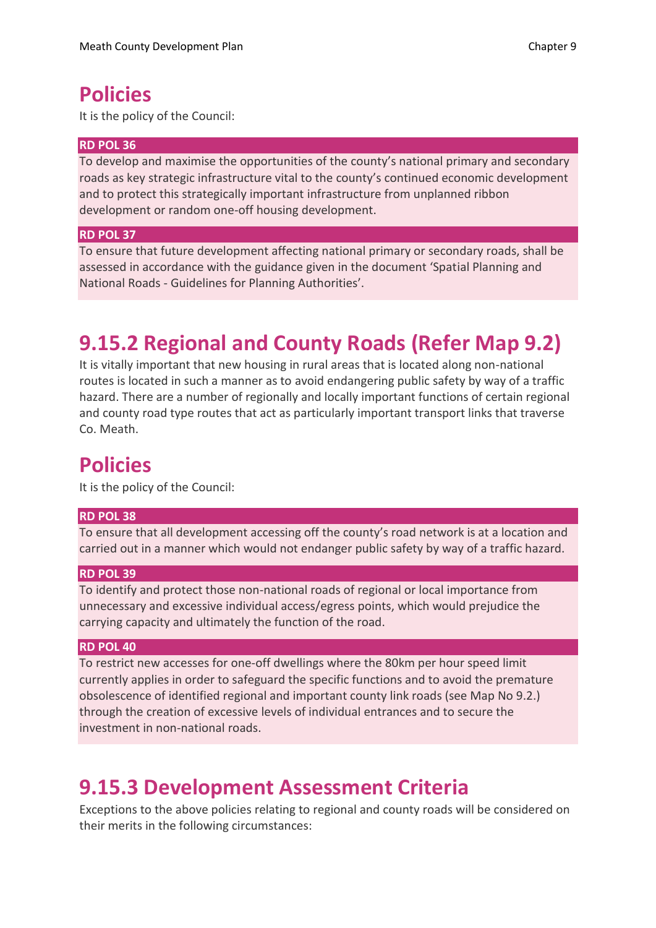### **Policies**

It is the policy of the Council:

#### **RD POL 36**

To develop and maximise the opportunities of the county's national primary and secondary roads as key strategic infrastructure vital to the county's continued economic development and to protect this strategically important infrastructure from unplanned ribbon development or random one-off housing development.

#### **RD POL 37**

To ensure that future development affecting national primary or secondary roads, shall be assessed in accordance with the guidance given in the document 'Spatial Planning and National Roads - Guidelines for Planning Authorities'.

## **9.15.2 Regional and County Roads (Refer Map 9.2)**

It is vitally important that new housing in rural areas that is located along non-national routes is located in such a manner as to avoid endangering public safety by way of a traffic hazard. There are a number of regionally and locally important functions of certain regional and county road type routes that act as particularly important transport links that traverse Co. Meath.

### **Policies**

It is the policy of the Council:

#### **RD POL 38**

To ensure that all development accessing off the county's road network is at a location and carried out in a manner which would not endanger public safety by way of a traffic hazard.

#### **RD POL 39**

To identify and protect those non-national roads of regional or local importance from unnecessary and excessive individual access/egress points, which would prejudice the carrying capacity and ultimately the function of the road.

#### **RD POL 40**

To restrict new accesses for one-off dwellings where the 80km per hour speed limit currently applies in order to safeguard the specific functions and to avoid the premature obsolescence of identified regional and important county link roads (see Map No 9.2.) through the creation of excessive levels of individual entrances and to secure the investment in non-national roads.

### **9.15.3 Development Assessment Criteria**

Exceptions to the above policies relating to regional and county roads will be considered on their merits in the following circumstances: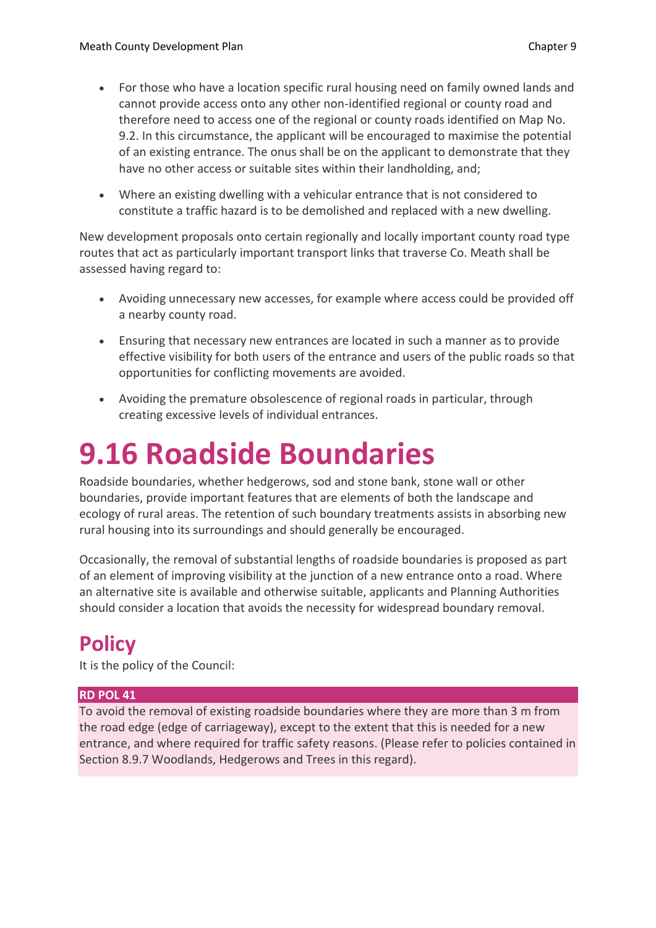- For those who have a location specific rural housing need on family owned lands and cannot provide access onto any other non-identified regional or county road and therefore need to access one of the regional or county roads identified on Map No. 9.2. In this circumstance, the applicant will be encouraged to maximise the potential of an existing entrance. The onus shall be on the applicant to demonstrate that they have no other access or suitable sites within their landholding, and;
- Where an existing dwelling with a vehicular entrance that is not considered to constitute a traffic hazard is to be demolished and replaced with a new dwelling.

New development proposals onto certain regionally and locally important county road type routes that act as particularly important transport links that traverse Co. Meath shall be assessed having regard to:

- Avoiding unnecessary new accesses, for example where access could be provided off a nearby county road.
- Ensuring that necessary new entrances are located in such a manner as to provide effective visibility for both users of the entrance and users of the public roads so that opportunities for conflicting movements are avoided.
- Avoiding the premature obsolescence of regional roads in particular, through creating excessive levels of individual entrances.

# **9.16 Roadside Boundaries**

Roadside boundaries, whether hedgerows, sod and stone bank, stone wall or other boundaries, provide important features that are elements of both the landscape and ecology of rural areas. The retention of such boundary treatments assists in absorbing new rural housing into its surroundings and should generally be encouraged.

Occasionally, the removal of substantial lengths of roadside boundaries is proposed as part of an element of improving visibility at the junction of a new entrance onto a road. Where an alternative site is available and otherwise suitable, applicants and Planning Authorities should consider a location that avoids the necessity for widespread boundary removal.

## **Policy**

It is the policy of the Council:

#### **RD POL 41**

To avoid the removal of existing roadside boundaries where they are more than 3 m from the road edge (edge of carriageway), except to the extent that this is needed for a new entrance, and where required for traffic safety reasons. (Please refer to policies contained in Section 8.9.7 Woodlands, Hedgerows and Trees in this regard).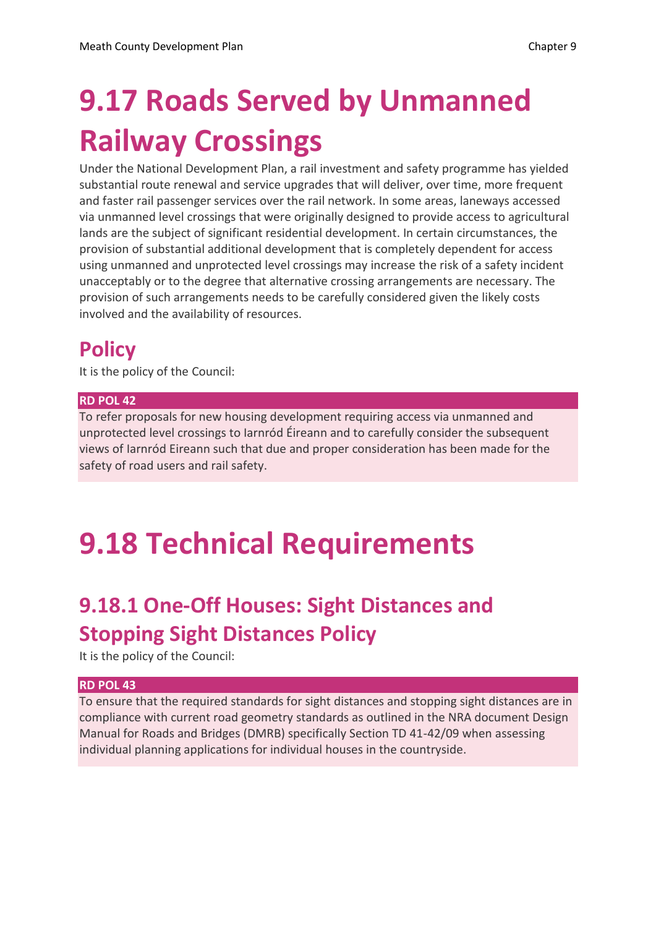# **9.17 Roads Served by Unmanned Railway Crossings**

Under the National Development Plan, a rail investment and safety programme has yielded substantial route renewal and service upgrades that will deliver, over time, more frequent and faster rail passenger services over the rail network. In some areas, laneways accessed via unmanned level crossings that were originally designed to provide access to agricultural lands are the subject of significant residential development. In certain circumstances, the provision of substantial additional development that is completely dependent for access using unmanned and unprotected level crossings may increase the risk of a safety incident unacceptably or to the degree that alternative crossing arrangements are necessary. The provision of such arrangements needs to be carefully considered given the likely costs involved and the availability of resources.

## **Policy**

It is the policy of the Council:

#### **RD POL 42**

To refer proposals for new housing development requiring access via unmanned and unprotected level crossings to Iarnród Éireann and to carefully consider the subsequent views of Iarnród Eireann such that due and proper consideration has been made for the safety of road users and rail safety.

# **9.18 Technical Requirements**

## **9.18.1 One-Off Houses: Sight Distances and Stopping Sight Distances Policy**

It is the policy of the Council:

#### **RD POL 43**

To ensure that the required standards for sight distances and stopping sight distances are in compliance with current road geometry standards as outlined in the NRA document Design Manual for Roads and Bridges (DMRB) specifically Section TD 41-42/09 when assessing individual planning applications for individual houses in the countryside.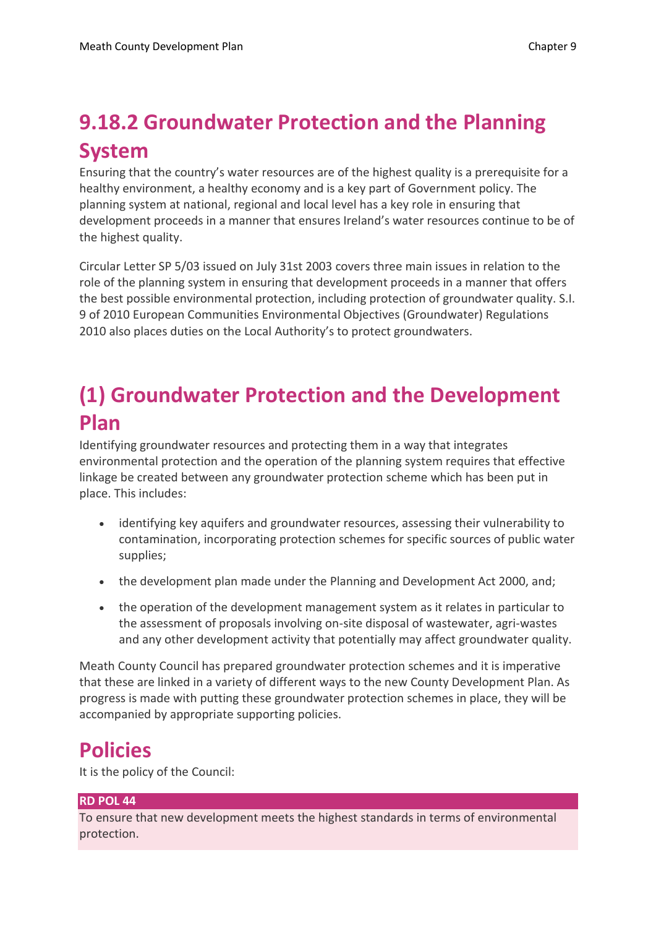# **9.18.2 Groundwater Protection and the Planning System**

Ensuring that the country's water resources are of the highest quality is a prerequisite for a healthy environment, a healthy economy and is a key part of Government policy. The planning system at national, regional and local level has a key role in ensuring that development proceeds in a manner that ensures Ireland's water resources continue to be of the highest quality.

Circular Letter SP 5/03 issued on July 31st 2003 covers three main issues in relation to the role of the planning system in ensuring that development proceeds in a manner that offers the best possible environmental protection, including protection of groundwater quality. S.I. 9 of 2010 European Communities Environmental Objectives (Groundwater) Regulations 2010 also places duties on the Local Authority's to protect groundwaters.

## **(1) Groundwater Protection and the Development Plan**

Identifying groundwater resources and protecting them in a way that integrates environmental protection and the operation of the planning system requires that effective linkage be created between any groundwater protection scheme which has been put in place. This includes:

- identifying key aquifers and groundwater resources, assessing their vulnerability to contamination, incorporating protection schemes for specific sources of public water supplies;
- the development plan made under the Planning and Development Act 2000, and;
- the operation of the development management system as it relates in particular to the assessment of proposals involving on-site disposal of wastewater, agri-wastes and any other development activity that potentially may affect groundwater quality.

Meath County Council has prepared groundwater protection schemes and it is imperative that these are linked in a variety of different ways to the new County Development Plan. As progress is made with putting these groundwater protection schemes in place, they will be accompanied by appropriate supporting policies.

### **Policies**

It is the policy of the Council:

#### **RD POL 44**

To ensure that new development meets the highest standards in terms of environmental protection.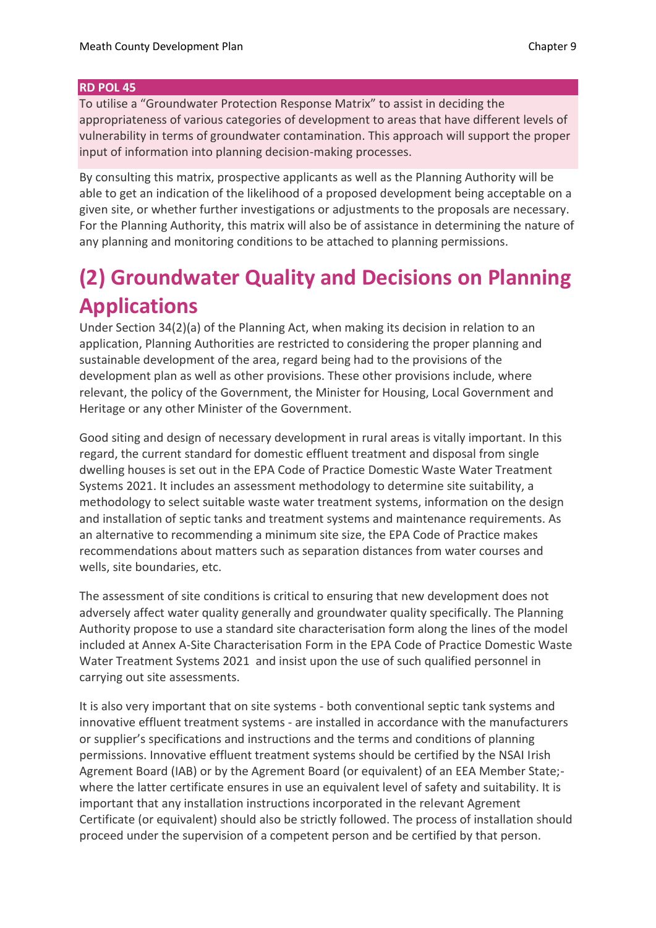#### **RD POL 45**

To utilise a "Groundwater Protection Response Matrix" to assist in deciding the appropriateness of various categories of development to areas that have different levels of vulnerability in terms of groundwater contamination. This approach will support the proper input of information into planning decision-making processes.

By consulting this matrix, prospective applicants as well as the Planning Authority will be able to get an indication of the likelihood of a proposed development being acceptable on a given site, or whether further investigations or adjustments to the proposals are necessary. For the Planning Authority, this matrix will also be of assistance in determining the nature of any planning and monitoring conditions to be attached to planning permissions.

## **(2) Groundwater Quality and Decisions on Planning Applications**

Under Section 34(2)(a) of the Planning Act, when making its decision in relation to an application, Planning Authorities are restricted to considering the proper planning and sustainable development of the area, regard being had to the provisions of the development plan as well as other provisions. These other provisions include, where relevant, the policy of the Government, the Minister for Housing, Local Government and Heritage or any other Minister of the Government.

Good siting and design of necessary development in rural areas is vitally important. In this regard, the current standard for domestic effluent treatment and disposal from single dwelling houses is set out in the EPA Code of Practice Domestic Waste Water Treatment Systems 2021. It includes an assessment methodology to determine site suitability, a methodology to select suitable waste water treatment systems, information on the design and installation of septic tanks and treatment systems and maintenance requirements. As an alternative to recommending a minimum site size, the EPA Code of Practice makes recommendations about matters such as separation distances from water courses and wells, site boundaries, etc.

The assessment of site conditions is critical to ensuring that new development does not adversely affect water quality generally and groundwater quality specifically. The Planning Authority propose to use a standard site characterisation form along the lines of the model included at Annex A-Site Characterisation Form in the EPA Code of Practice Domestic Waste Water Treatment Systems 2021 and insist upon the use of such qualified personnel in carrying out site assessments.

It is also very important that on site systems - both conventional septic tank systems and innovative effluent treatment systems - are installed in accordance with the manufacturers or supplier's specifications and instructions and the terms and conditions of planning permissions. Innovative effluent treatment systems should be certified by the NSAI Irish Agrement Board (IAB) or by the Agrement Board (or equivalent) of an EEA Member State; where the latter certificate ensures in use an equivalent level of safety and suitability. It is important that any installation instructions incorporated in the relevant Agrement Certificate (or equivalent) should also be strictly followed. The process of installation should proceed under the supervision of a competent person and be certified by that person.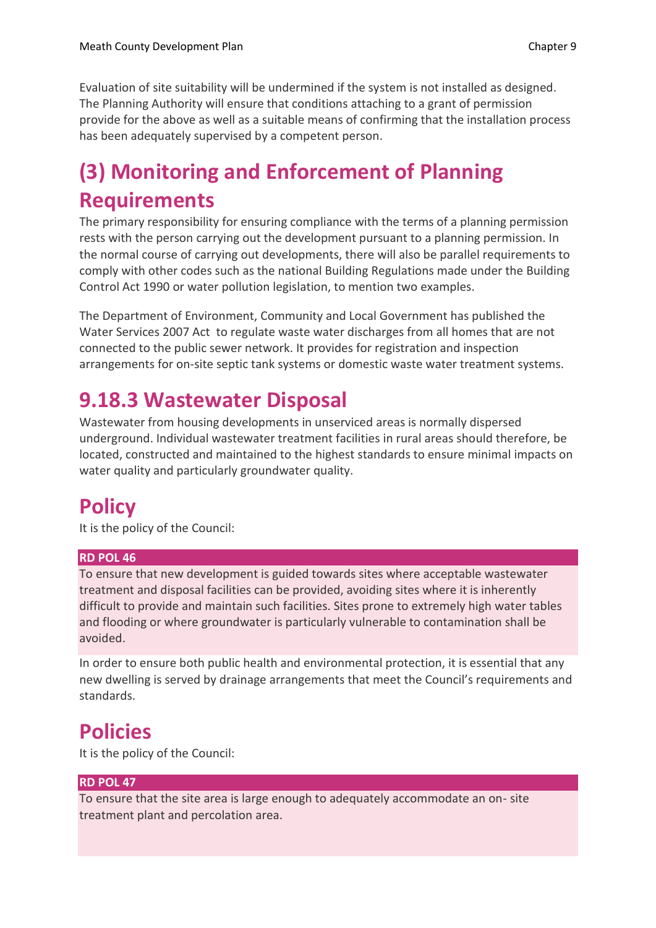Evaluation of site suitability will be undermined if the system is not installed as designed. The Planning Authority will ensure that conditions attaching to a grant of permission provide for the above as well as a suitable means of confirming that the installation process has been adequately supervised by a competent person.

## **(3) Monitoring and Enforcement of Planning Requirements**

The primary responsibility for ensuring compliance with the terms of a planning permission rests with the person carrying out the development pursuant to a planning permission. In the normal course of carrying out developments, there will also be parallel requirements to comply with other codes such as the national Building Regulations made under the Building Control Act 1990 or water pollution legislation, to mention two examples.

The Department of Environment, Community and Local Government has published the Water Services 2007 Act to regulate waste water discharges from all homes that are not connected to the public sewer network. It provides for registration and inspection arrangements for on-site septic tank systems or domestic waste water treatment systems.

## **9.18.3 Wastewater Disposal**

Wastewater from housing developments in unserviced areas is normally dispersed underground. Individual wastewater treatment facilities in rural areas should therefore, be located, constructed and maintained to the highest standards to ensure minimal impacts on water quality and particularly groundwater quality.

## **Policy**

It is the policy of the Council:

#### **RD POL 46**

To ensure that new development is guided towards sites where acceptable wastewater treatment and disposal facilities can be provided, avoiding sites where it is inherently difficult to provide and maintain such facilities. Sites prone to extremely high water tables and flooding or where groundwater is particularly vulnerable to contamination shall be avoided.

In order to ensure both public health and environmental protection, it is essential that any new dwelling is served by drainage arrangements that meet the Council's requirements and standards.

### **Policies**

It is the policy of the Council:

#### **RD POL 47**

To ensure that the site area is large enough to adequately accommodate an on- site treatment plant and percolation area.